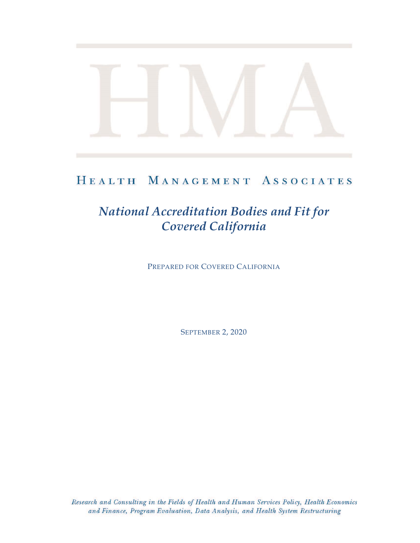# HEALTH MANAGEMENT ASSOCIATES

# *National Accreditation Bodies and Fit for Covered California*

PREPARED FOR COVERED CALIFORNIA

SEPTEMBER 2, 2020

Research and Consulting in the Fields of Health and Human Services Policy, Health Economics and Finance, Program Evaluation, Data Analysis, and Health System Restructuring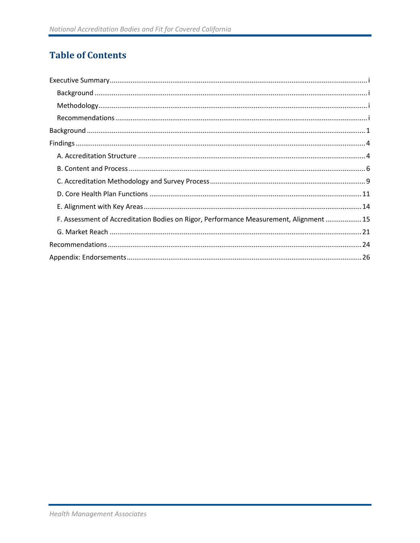# **Table of Contents**

| F. Assessment of Accreditation Bodies on Rigor, Performance Measurement, Alignment  15 |  |
|----------------------------------------------------------------------------------------|--|
|                                                                                        |  |
|                                                                                        |  |
|                                                                                        |  |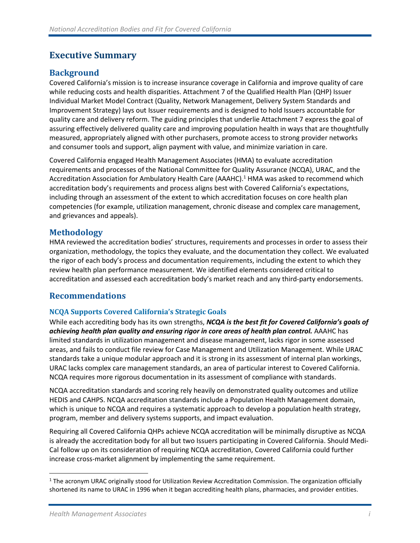# <span id="page-2-0"></span>**Executive Summary**

# <span id="page-2-1"></span>**Background**

Covered California's mission is to increase insurance coverage in California and improve quality of care while reducing costs and health disparities. Attachment 7 of the Qualified Health Plan (QHP) Issuer Individual Market Model Contract (Quality, Network Management, Delivery System Standards and Improvement Strategy) lays out Issuer requirements and is designed to hold Issuers accountable for quality care and delivery reform. The guiding principles that underlie Attachment 7 express the goal of assuring effectively delivered quality care and improving population health in ways that are thoughtfully measured, appropriately aligned with other purchasers, promote access to strong provider networks and consumer tools and support, align payment with value, and minimize variation in care.

Covered California engaged Health Management Associates (HMA) to evaluate accreditation requirements and processes of the National Committee for Quality Assurance (NCQA), URAC, and the Accreditation Association for Ambulatory Health Care (AAAHC). <sup>1</sup> HMA was asked to recommend which accreditation body's requirements and process aligns best with Covered California's expectations, including through an assessment of the extent to which accreditation focuses on core health plan competencies (for example, utilization management, chronic disease and complex care management, and grievances and appeals).

### <span id="page-2-2"></span>**Methodology**

HMA reviewed the accreditation bodies' structures, requirements and processes in order to assess their organization, methodology, the topics they evaluate, and the documentation they collect. We evaluated the rigor of each body's process and documentation requirements, including the extent to which they review health plan performance measurement. We identified elements considered critical to accreditation and assessed each accreditation body's market reach and any third-party endorsements.

# <span id="page-2-3"></span>**Recommendations**

#### **NCQA Supports Covered California's Strategic Goals**

While each accrediting body has its own strengths, *NCQA is the best fit for Covered California's goals of achieving health plan quality and ensuring rigor in core areas of health plan control.* AAAHC has limited standards in utilization management and disease management, lacks rigor in some assessed areas, and fails to conduct file review for Case Management and Utilization Management. While URAC standards take a unique modular approach and it is strong in its assessment of internal plan workings, URAC lacks complex care management standards, an area of particular interest to Covered California. NCQA requires more rigorous documentation in its assessment of compliance with standards.

NCQA accreditation standards and scoring rely heavily on demonstrated quality outcomes and utilize HEDIS and CAHPS. NCQA accreditation standards include a Population Health Management domain, which is unique to NCQA and requires a systematic approach to develop a population health strategy, program, member and delivery systems supports, and impact evaluation.

Requiring all Covered California QHPs achieve NCQA accreditation will be minimally disruptive as NCQA is already the accreditation body for all but two Issuers participating in Covered California. Should Medi-Cal follow up on its consideration of requiring NCQA accreditation, Covered California could further increase cross-market alignment by implementing the same requirement.

 $1$  The acronym URAC originally stood for Utilization Review Accreditation Commission. The organization officially shortened its name to URAC in 1996 when it began accrediting health plans, pharmacies, and provider entities.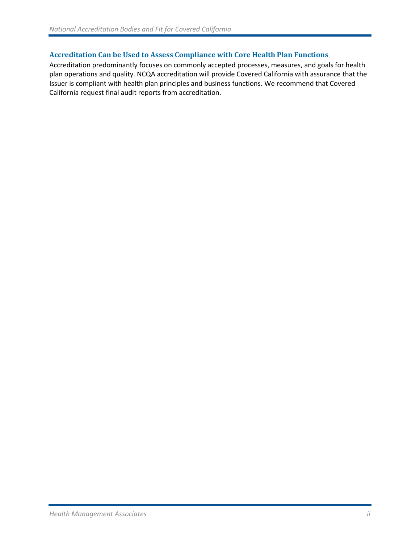#### **Accreditation Can be Used to Assess Compliance with Core Health Plan Functions**

Accreditation predominantly focuses on commonly accepted processes, measures, and goals for health plan operations and quality. NCQA accreditation will provide Covered California with assurance that the Issuer is compliant with health plan principles and business functions. We recommend that Covered California request final audit reports from accreditation.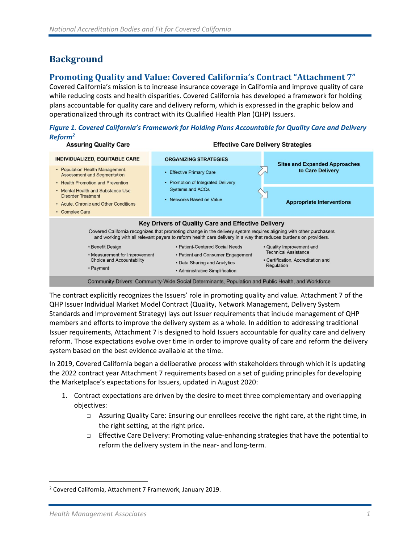# <span id="page-4-0"></span>**Background**

## **Promoting Quality and Value: Covered California's Contract "Attachment 7"**

Covered California's mission is to increase insurance coverage in California and improve quality of care while reducing costs and health disparities. Covered California has developed a framework for holding plans accountable for quality care and delivery reform, which is expressed in the graphic below and operationalized through its contract with its Qualified Health Plan (QHP) Issuers.

*Figure 1. Covered California's Framework for Holding Plans Accountable for Quality Care and Delivery Reform<sup>2</sup>*



The contract explicitly recognizes the Issuers' role in promoting quality and value. Attachment 7 of the QHP Issuer Individual Market Model Contract (Quality, Network Management, Delivery System Standards and Improvement Strategy) lays out Issuer requirements that include management of QHP members and efforts to improve the delivery system as a whole. In addition to addressing traditional Issuer requirements, Attachment 7 is designed to hold Issuers accountable for quality care and delivery reform. Those expectations evolve over time in order to improve quality of care and reform the delivery system based on the best evidence available at the time.

In 2019, Covered California began a deliberative process with stakeholders through which it is updating the 2022 contract year Attachment 7 requirements based on a set of guiding principles for developing the Marketplace's expectations for Issuers, updated in August 2020:

- 1. Contract expectations are driven by the desire to meet three complementary and overlapping objectives:
	- □ Assuring Quality Care: Ensuring our enrollees receive the right care, at the right time, in the right setting, at the right price.
	- $\Box$  Effective Care Delivery: Promoting value-enhancing strategies that have the potential to reform the delivery system in the near- and long-term.

<sup>2</sup> Covered California, Attachment 7 Framework, January 2019.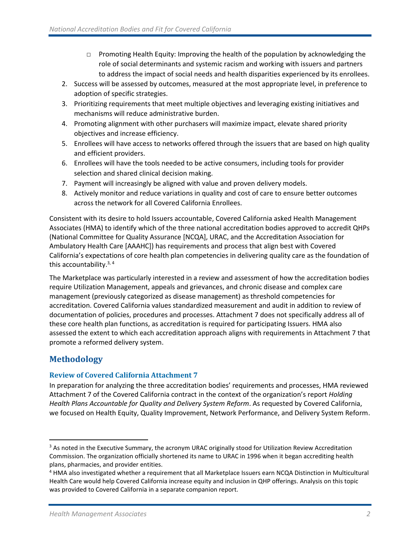- $\Box$  Promoting Health Equity: Improving the health of the population by acknowledging the role of social determinants and systemic racism and working with issuers and partners to address the impact of social needs and health disparities experienced by its enrollees.
- 2. Success will be assessed by outcomes, measured at the most appropriate level, in preference to adoption of specific strategies.
- 3. Prioritizing requirements that meet multiple objectives and leveraging existing initiatives and mechanisms will reduce administrative burden.
- 4. Promoting alignment with other purchasers will maximize impact, elevate shared priority objectives and increase efficiency.
- 5. Enrollees will have access to networks offered through the issuers that are based on high quality and efficient providers.
- 6. Enrollees will have the tools needed to be active consumers, including tools for provider selection and shared clinical decision making.
- 7. Payment will increasingly be aligned with value and proven delivery models.
- 8. Actively monitor and reduce variations in quality and cost of care to ensure better outcomes across the network for all Covered California Enrollees.

Consistent with its desire to hold Issuers accountable, Covered California asked Health Management Associates (HMA) to identify which of the three national accreditation bodies approved to accredit QHPs (National Committee for Quality Assurance [NCQA], URAC, and the Accreditation Association for Ambulatory Health Care [AAAHC]) has requirements and process that align best with Covered California's expectations of core health plan competencies in delivering quality care as the foundation of this accountability. $3, 4$ 

The Marketplace was particularly interested in a review and assessment of how the accreditation bodies require Utilization Management, appeals and grievances, and chronic disease and complex care management (previously categorized as disease management) as threshold competencies for accreditation. Covered California values standardized measurement and audit in addition to review of documentation of policies, procedures and processes. Attachment 7 does not specifically address all of these core health plan functions, as accreditation is required for participating Issuers. HMA also assessed the extent to which each accreditation approach aligns with requirements in Attachment 7 that promote a reformed delivery system.

# **Methodology**

#### **Review of Covered California Attachment 7**

In preparation for analyzing the three accreditation bodies' requirements and processes, HMA reviewed Attachment 7 of the Covered California contract in the context of the organization's report *Holding Health Plans Accountable for Quality and Delivery System Reform*. As requested by Covered California, we focused on Health Equity, Quality Improvement, Network Performance, and Delivery System Reform.

<sup>&</sup>lt;sup>3</sup> As noted in the Executive Summary, the acronym URAC originally stood for Utilization Review Accreditation Commission. The organization officially shortened its name to URAC in 1996 when it began accrediting health plans, pharmacies, and provider entities.

<sup>4</sup> HMA also investigated whether a requirement that all Marketplace Issuers earn NCQA Distinction in Multicultural Health Care would help Covered California increase equity and inclusion in QHP offerings. Analysis on this topic was provided to Covered California in a separate companion report.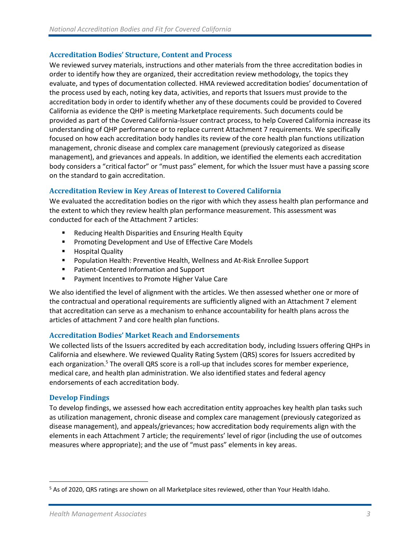#### **Accreditation Bodies' Structure, Content and Process**

We reviewed survey materials, instructions and other materials from the three accreditation bodies in order to identify how they are organized, their accreditation review methodology, the topics they evaluate, and types of documentation collected. HMA reviewed accreditation bodies' documentation of the process used by each, noting key data, activities, and reports that Issuers must provide to the accreditation body in order to identify whether any of these documents could be provided to Covered California as evidence the QHP is meeting Marketplace requirements. Such documents could be provided as part of the Covered California-Issuer contract process, to help Covered California increase its understanding of QHP performance or to replace current Attachment 7 requirements. We specifically focused on how each accreditation body handles its review of the core health plan functions utilization management, chronic disease and complex care management (previously categorized as disease management), and grievances and appeals. In addition, we identified the elements each accreditation body considers a "critical factor" or "must pass" element, for which the Issuer must have a passing score on the standard to gain accreditation.

#### **Accreditation Review in Key Areas of Interest to Covered California**

We evaluated the accreditation bodies on the rigor with which they assess health plan performance and the extent to which they review health plan performance measurement. This assessment was conducted for each of the Attachment 7 articles:

- Reducing Health Disparities and Ensuring Health Equity
- Promoting Development and Use of Effective Care Models
- Hospital Quality
- Population Health: Preventive Health, Wellness and At-Risk Enrollee Support
- Patient-Centered Information and Support
- Payment Incentives to Promote Higher Value Care

We also identified the level of alignment with the articles. We then assessed whether one or more of the contractual and operational requirements are sufficiently aligned with an Attachment 7 element that accreditation can serve as a mechanism to enhance accountability for health plans across the articles of attachment 7 and core health plan functions.

#### **Accreditation Bodies' Market Reach and Endorsements**

We collected lists of the Issuers accredited by each accreditation body, including Issuers offering QHPs in California and elsewhere. We reviewed Quality Rating System (QRS) scores for Issuers accredited by each organization.<sup>5</sup> The overall QRS score is a roll-up that includes scores for member experience, medical care, and health plan administration. We also identified states and federal agency endorsements of each accreditation body.

#### **Develop Findings**

To develop findings, we assessed how each accreditation entity approaches key health plan tasks such as utilization management, chronic disease and complex care management (previously categorized as disease management), and appeals/grievances; how accreditation body requirements align with the elements in each Attachment 7 article; the requirements' level of rigor (including the use of outcomes measures where appropriate); and the use of "must pass" elements in key areas.

<sup>5</sup> As of 2020, QRS ratings are shown on all Marketplace sites reviewed, other than Your Health Idaho.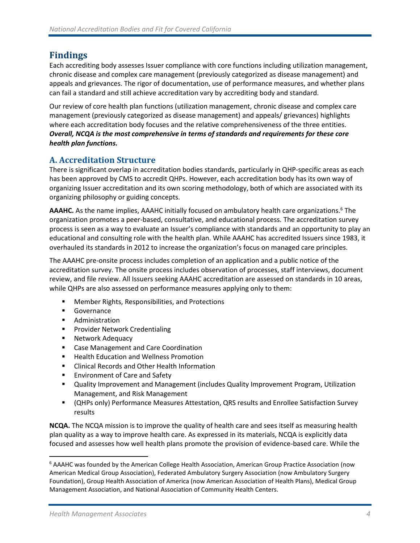# <span id="page-7-0"></span>**Findings**

Each accrediting body assesses Issuer compliance with core functions including utilization management, chronic disease and complex care management (previously categorized as disease management) and appeals and grievances. The rigor of documentation, use of performance measures, and whether plans can fail a standard and still achieve accreditation vary by accrediting body and standard.

Our review of core health plan functions (utilization management, chronic disease and complex care management (previously categorized as disease management) and appeals/ grievances) highlights where each accreditation body focuses and the relative comprehensiveness of the three entities. *Overall, NCQA is the most comprehensive in terms of standards and requirements for these core health plan functions.* 

# <span id="page-7-1"></span>**A. Accreditation Structure**

There is significant overlap in accreditation bodies standards, particularly in QHP-specific areas as each has been approved by CMS to accredit QHPs. However, each accreditation body has its own way of organizing Issuer accreditation and its own scoring methodology, both of which are associated with its organizing philosophy or guiding concepts.

**AAAHC.** As the name implies, AAAHC initially focused on ambulatory health care organizations.<sup>6</sup> The organization promotes a peer-based, consultative, and educational process. The accreditation survey process is seen as a way to evaluate an Issuer's compliance with standards and an opportunity to play an educational and consulting role with the health plan. While AAAHC has accredited Issuers since 1983, it overhauled its standards in 2012 to increase the organization's focus on managed care principles.

The AAAHC pre-onsite process includes completion of an application and a public notice of the accreditation survey. The onsite process includes observation of processes, staff interviews, document review, and file review. All Issuers seeking AAAHC accreditation are assessed on standards in 10 areas, while QHPs are also assessed on performance measures applying only to them:

- Member Rights, Responsibilities, and Protections
- Governance
- Administration
- Provider Network Credentialing
- Network Adequacy
- Case Management and Care Coordination
- Health Education and Wellness Promotion
- Clinical Records and Other Health Information
- Environment of Care and Safety
- Quality Improvement and Management (includes Quality Improvement Program, Utilization Management, and Risk Management
- (QHPs only) Performance Measures Attestation, QRS results and Enrollee Satisfaction Survey results

**NCQA.** The NCQA mission is to improve the quality of health care and sees itself as measuring health plan quality as a way to improve health care. As expressed in its materials, NCQA is explicitly data focused and assesses how well health plans promote the provision of evidence-based care. While the

<sup>6</sup> AAAHC was founded by the American College Health Association, American Group Practice Association (now American Medical Group Association), Federated Ambulatory Surgery Association (now Ambulatory Surgery Foundation), Group Health Association of America (now American Association of Health Plans), Medical Group Management Association, and National Association of Community Health Centers.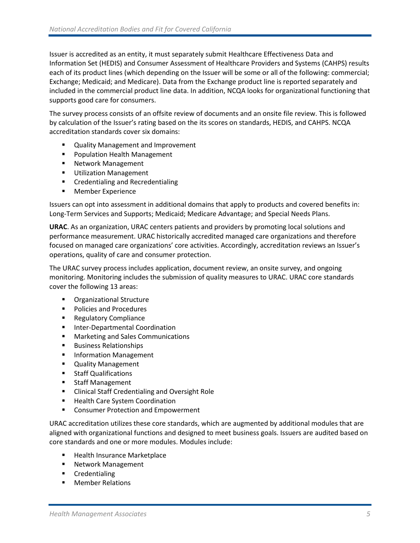Issuer is accredited as an entity, it must separately submit Healthcare Effectiveness Data and Information Set (HEDIS) and Consumer Assessment of Healthcare Providers and Systems (CAHPS) results each of its product lines (which depending on the Issuer will be some or all of the following: commercial; Exchange; Medicaid; and Medicare). Data from the Exchange product line is reported separately and included in the commercial product line data. In addition, NCQA looks for organizational functioning that supports good care for consumers.

The survey process consists of an offsite review of documents and an onsite file review. This is followed by calculation of the Issuer's rating based on the its scores on standards, HEDIS, and CAHPS. NCQA accreditation standards cover six domains:

- Quality Management and Improvement
- Population Health Management
- Network Management
- Utilization Management
- Credentialing and Recredentialing
- Member Experience

Issuers can opt into assessment in additional domains that apply to products and covered benefits in: Long-Term Services and Supports; Medicaid; Medicare Advantage; and Special Needs Plans.

**URAC**. As an organization, URAC centers patients and providers by promoting local solutions and performance measurement. URAC historically accredited managed care organizations and therefore focused on managed care organizations' core activities. Accordingly, accreditation reviews an Issuer's operations, quality of care and consumer protection.

The URAC survey process includes application, document review, an onsite survey, and ongoing monitoring. Monitoring includes the submission of quality measures to URAC. URAC core standards cover the following 13 areas:

- Organizational Structure
- Policies and Procedures
- Regulatory Compliance
- Inter-Departmental Coordination
- Marketing and Sales Communications
- Business Relationships
- **■** Information Management
- Quality Management
- Staff Qualifications
- Staff Management
- Clinical Staff Credentialing and Oversight Role
- Health Care System Coordination
- Consumer Protection and Empowerment

URAC accreditation utilizes these core standards, which are augmented by additional modules that are aligned with organizational functions and designed to meet business goals. Issuers are audited based on core standards and one or more modules. Modules include:

- Health Insurance Marketplace
- Network Management
- Credentialing
- Member Relations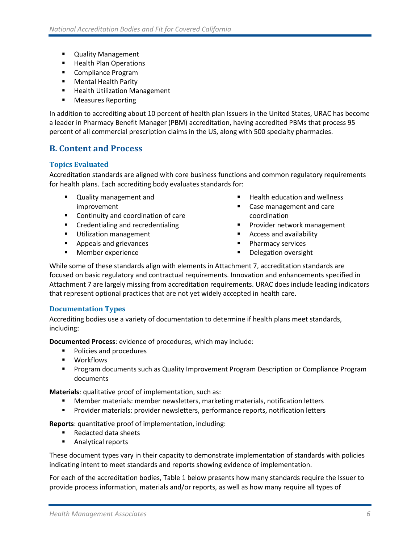- Quality Management
- Health Plan Operations
- Compliance Program
- Mental Health Parity
- Health Utilization Management
- Measures Reporting

In addition to accrediting about 10 percent of health plan Issuers in the United States, URAC has become a leader in Pharmacy Benefit Manager (PBM) accreditation, having accredited PBMs that process 95 percent of all commercial prescription claims in the US, along with 500 specialty pharmacies.

### <span id="page-9-0"></span>**B. Content and Process**

#### **Topics Evaluated**

Accreditation standards are aligned with core business functions and common regulatory requirements for health plans. Each accrediting body evaluates standards for:

- Quality management and improvement
- Continuity and coordination of care
- Credentialing and recredentialing
- **■** Utilization management
- Appeals and grievances
- Member experience
- **Health education and wellness**
- Case management and care coordination
- Provider network management
- Access and availability
- Pharmacy services
- Delegation oversight

While some of these standards align with elements in Attachment 7, accreditation standards are focused on basic regulatory and contractual requirements. Innovation and enhancements specified in Attachment 7 are largely missing from accreditation requirements. URAC does include leading indicators that represent optional practices that are not yet widely accepted in health care.

#### **Documentation Types**

Accrediting bodies use a variety of documentation to determine if health plans meet standards, including:

**Documented Process**: evidence of procedures, which may include:

- Policies and procedures
- Workflows
- **Program documents such as Quality Improvement Program Description or Compliance Program** documents

**Materials**: qualitative proof of implementation, such as:

- Member materials: member newsletters, marketing materials, notification letters
- **EXECT** Provider materials: provider newsletters, performance reports, notification letters

**Reports**: quantitative proof of implementation, including:

- Redacted data sheets
- Analytical reports

These document types vary in their capacity to demonstrate implementation of standards with policies indicating intent to meet standards and reports showing evidence of implementation.

For each of the accreditation bodies, Table 1 below presents how many standards require the Issuer to provide process information, materials and/or reports, as well as how many require all types of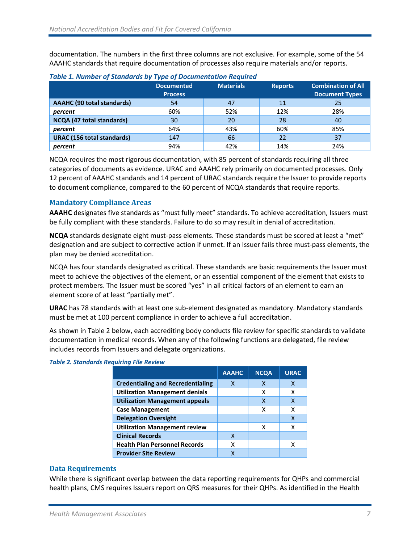documentation. The numbers in the first three columns are not exclusive. For example, some of the 54 AAAHC standards that require documentation of processes also require materials and/or reports.

| <b>Table 2: Namber of Standards by Type of Bocamentation negation</b> |                   |                  |                |                           |  |  |  |
|-----------------------------------------------------------------------|-------------------|------------------|----------------|---------------------------|--|--|--|
|                                                                       | <b>Documented</b> | <b>Materials</b> | <b>Reports</b> | <b>Combination of All</b> |  |  |  |
|                                                                       | <b>Process</b>    |                  |                | <b>Document Types</b>     |  |  |  |
| <b>AAAHC</b> (90 total standards)                                     | 54                | 47               | 11             | 25                        |  |  |  |
| percent                                                               | 60%               | 52%              | 12%            | 28%                       |  |  |  |
| NCQA (47 total standards)                                             | 30                | 20               | 28             | 40                        |  |  |  |
| percent                                                               | 64%               | 43%              | 60%            | 85%                       |  |  |  |
| <b>URAC (156 total standards)</b>                                     | 147               | 66               | 22             | 37                        |  |  |  |
| percent                                                               | 94%               | 42%              | 14%            | 24%                       |  |  |  |

#### *Table 1. Number of Standards by Type of Documentation Required*

NCQA requires the most rigorous documentation, with 85 percent of standards requiring all three categories of documents as evidence. URAC and AAAHC rely primarily on documented processes. Only 12 percent of AAAHC standards and 14 percent of URAC standards require the Issuer to provide reports to document compliance, compared to the 60 percent of NCQA standards that require reports.

#### **Mandatory Compliance Areas**

**AAAHC** designates five standards as "must fully meet" standards. To achieve accreditation, Issuers must be fully compliant with these standards. Failure to do so may result in denial of accreditation.

**NCQA** standards designate eight must-pass elements. These standards must be scored at least a "met" designation and are subject to corrective action if unmet. If an Issuer fails three must-pass elements, the plan may be denied accreditation.

NCQA has four standards designated as critical. These standards are basic requirements the Issuer must meet to achieve the objectives of the element, or an essential component of the element that exists to protect members. The Issuer must be scored "yes" in all critical factors of an element to earn an element score of at least "partially met".

**URAC** has 78 standards with at least one sub-element designated as mandatory. Mandatory standards must be met at 100 percent compliance in order to achieve a full accreditation.

As shown in Table 2 below, each accrediting body conducts file review for specific standards to validate documentation in medical records. When any of the following functions are delegated, file review includes records from Issuers and delegate organizations.

|                                          | <b>AAAHC</b> | <b>NCQA</b> | <b>URAC</b> |
|------------------------------------------|--------------|-------------|-------------|
| <b>Credentialing and Recredentialing</b> | x            | x           | x           |
| <b>Utilization Management denials</b>    |              | x           | x           |
| <b>Utilization Management appeals</b>    |              | X           | χ           |
| <b>Case Management</b>                   |              | х           | x           |
| <b>Delegation Oversight</b>              |              |             | X           |
| <b>Utilization Management review</b>     |              | x           | x           |
| <b>Clinical Records</b>                  | X            |             |             |
| <b>Health Plan Personnel Records</b>     | χ            |             | x           |
| <b>Provider Site Review</b>              |              |             |             |

#### *Table 2. Standards Requiring File Review*

#### **Data Requirements**

While there is significant overlap between the data reporting requirements for QHPs and commercial health plans, CMS requires Issuers report on QRS measures for their QHPs. As identified in the Health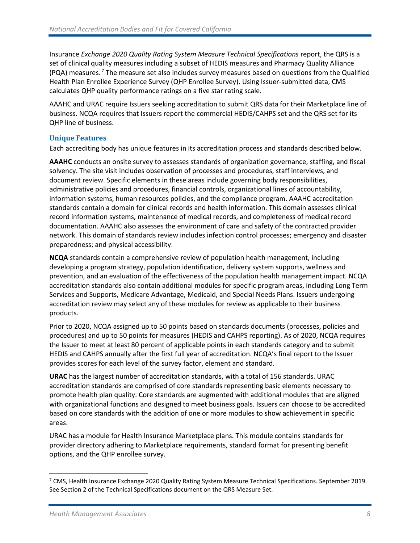Insurance *Exchange 2020 Quality Rating System Measure Technical Specifications* report, the QRS is a set of clinical quality measures including a subset of HEDIS measures and Pharmacy Quality Alliance (PQA) measures. <sup>7</sup> The measure set also includes survey measures based on questions from the Qualified Health Plan Enrollee Experience Survey (QHP Enrollee Survey). Using Issuer-submitted data, CMS calculates QHP quality performance ratings on a five star rating scale.

AAAHC and URAC require Issuers seeking accreditation to submit QRS data for their Marketplace line of business. NCQA requires that Issuers report the commercial HEDIS/CAHPS set and the QRS set for its QHP line of business.

#### **Unique Features**

Each accrediting body has unique features in its accreditation process and standards described below.

**AAAHC** conducts an onsite survey to assesses standards of organization governance, staffing, and fiscal solvency. The site visit includes observation of processes and procedures, staff interviews, and document review. Specific elements in these areas include governing body responsibilities, administrative policies and procedures, financial controls, organizational lines of accountability, information systems, human resources policies, and the compliance program. AAAHC accreditation standards contain a domain for clinical records and health information. This domain assesses clinical record information systems, maintenance of medical records, and completeness of medical record documentation. AAAHC also assesses the environment of care and safety of the contracted provider network. This domain of standards review includes infection control processes; emergency and disaster preparedness; and physical accessibility.

**NCQA** standards contain a comprehensive review of population health management, including developing a program strategy, population identification, delivery system supports, wellness and prevention, and an evaluation of the effectiveness of the population health management impact. NCQA accreditation standards also contain additional modules for specific program areas, including Long Term Services and Supports, Medicare Advantage, Medicaid, and Special Needs Plans. Issuers undergoing accreditation review may select any of these modules for review as applicable to their business products.

Prior to 2020, NCQA assigned up to 50 points based on standards documents (processes, policies and procedures) and up to 50 points for measures (HEDIS and CAHPS reporting). As of 2020, NCQA requires the Issuer to meet at least 80 percent of applicable points in each standards category and to submit HEDIS and CAHPS annually after the first full year of accreditation. NCQA's final report to the Issuer provides scores for each level of the survey factor, element and standard.

**URAC** has the largest number of accreditation standards, with a total of 156 standards. URAC accreditation standards are comprised of core standards representing basic elements necessary to promote health plan quality. Core standards are augmented with additional modules that are aligned with organizational functions and designed to meet business goals. Issuers can choose to be accredited based on core standards with the addition of one or more modules to show achievement in specific areas.

URAC has a module for Health Insurance Marketplace plans. This module contains standards for provider directory adhering to Marketplace requirements, standard format for presenting benefit options, and the QHP enrollee survey.

 $7$  CMS, Health Insurance Exchange 2020 Quality Rating System Measure Technical Specifications. September 2019. See Section 2 of the Technical Specifications document on the QRS Measure Set.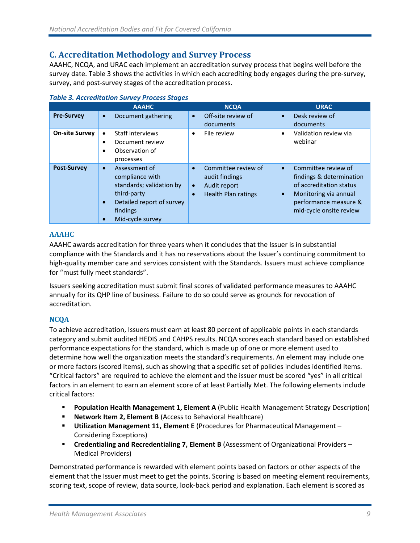### <span id="page-12-0"></span>**C. Accreditation Methodology and Survey Process**

AAAHC, NCQA, and URAC each implement an accreditation survey process that begins well before the survey date. Table 3 shows the activities in which each accrediting body engages during the pre-survey, survey, and post-survey stages of the accreditation process.

|                       | <b>AAAHC</b>                                                                                                                             | <b>NCQA</b>                                                                                                                | <b>URAC</b>                                                                                                                                                                       |
|-----------------------|------------------------------------------------------------------------------------------------------------------------------------------|----------------------------------------------------------------------------------------------------------------------------|-----------------------------------------------------------------------------------------------------------------------------------------------------------------------------------|
| <b>Pre-Survey</b>     | Document gathering<br>$\bullet$                                                                                                          | Off-site review of<br>$\bullet$<br>documents                                                                               | Desk review of<br>$\bullet$<br>documents                                                                                                                                          |
| <b>On-site Survey</b> | Staff interviews<br>Document review<br>Observation of<br>processes                                                                       | File review<br>$\bullet$                                                                                                   | Validation review via<br>$\bullet$<br>webinar                                                                                                                                     |
| <b>Post-Survey</b>    | Assessment of<br>compliance with<br>standards; validation by<br>third-party<br>Detailed report of survey<br>findings<br>Mid-cycle survey | Committee review of<br>$\bullet$<br>audit findings<br>Audit report<br>$\bullet$<br><b>Health Plan ratings</b><br>$\bullet$ | Committee review of<br>$\bullet$<br>findings & determination<br>of accreditation status<br>Monitoring via annual<br>$\bullet$<br>performance measure &<br>mid-cycle onsite review |

#### *Table 3. Accreditation Survey Process Stages*

#### **AAAHC**

AAAHC awards accreditation for three years when it concludes that the Issuer is in substantial compliance with the Standards and it has no reservations about the Issuer's continuing commitment to high-quality member care and services consistent with the Standards. Issuers must achieve compliance for "must fully meet standards".

Issuers seeking accreditation must submit final scores of validated performance measures to AAAHC annually for its QHP line of business. Failure to do so could serve as grounds for revocation of accreditation.

#### **NCQA**

To achieve accreditation, Issuers must earn at least 80 percent of applicable points in each standards category and submit audited HEDIS and CAHPS results. NCQA scores each standard based on established performance expectations for the standard, which is made up of one or more element used to determine how well the organization meets the standard's requirements. An element may include one or more factors (scored items), such as showing that a specific set of policies includes identified items. "Critical factors" are required to achieve the element and the issuer must be scored "yes" in all critical factors in an element to earn an element score of at least Partially Met. The following elements include critical factors:

- **Population Health Management 1, Element A (Public Health Management Strategy Description)**
- **Network Item 2, Element B** (Access to Behavioral Healthcare)
- **Utilization Management 11, Element E** (Procedures for Pharmaceutical Management Considering Exceptions)
- **Credentialing and Recredentialing 7, Element B** (Assessment of Organizational Providers Medical Providers)

Demonstrated performance is rewarded with element points based on factors or other aspects of the element that the Issuer must meet to get the points. Scoring is based on meeting element requirements, scoring text, scope of review, data source, look-back period and explanation. Each element is scored as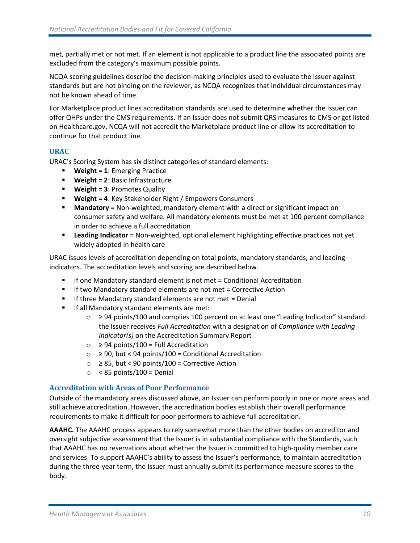met, partially met or not met. If an element is not applicable to a product line the associated points are excluded from the category's maximum possible points.

NCQA scoring guidelines describe the decision-making principles used to evaluate the Issuer against standards but are not binding on the reviewer, as NCQA recognizes that individual circumstances may not be known ahead of time.

For Marketplace product lines accreditation standards are used to determine whether the Issuer can offer QHPs under the CMS requirements. If an Issuer does not submit QRS measures to CMS or get listed on Healthcare.gov, NCQA will not accredit the Marketplace product line or allow its accreditation to continue for that product line.

#### **URAC**

URAC's Scoring System has six distinct categories of standard elements:

- **Weight = 1**: Emerging Practice
- **Weight = 2**: Basic Infrastructure
- **Weight = 3**: Promotes Quality
- **Weight = 4**: Key Stakeholder Right / Empowers Consumers
- **■** Mandatory = Non-weighted, mandatory element with a direct or significant impact on consumer safety and welfare. All mandatory elements must be met at 100 percent compliance in order to achieve a full accreditation
- **Leading Indicator** = Non-weighted, optional element highlighting effective practices not yet widely adopted in health care

URAC issues levels of accreditation depending on total points, mandatory standards, and leading indicators. The accreditation levels and scoring are described below.

- If one Mandatory standard element is not met = Conditional Accreditation
- If two Mandatory standard elements are not met = Corrective Action
- If three Mandatory standard elements are not met = Denial
- **■** If all Mandatory standard elements are met:
	- o ≥ 94 points/100 and complies 100 percent on at least one "Leading Indicator" standard the Issuer receives *Full Accreditation* with a designation of *Compliance with Leading Indicator(s)* on the Accreditation Summary Report
	- o ≥ 94 points/100 = Full Accreditation
	- $\circ$  ≥ 90, but < 94 points/100 = Conditional Accreditation
	- $\circ$  ≥ 85, but < 90 points/100 = Corrective Action
	- $\circ$  < 85 points/100 = Denial

#### **Accreditation with Areas of Poor Performance**

Outside of the mandatory areas discussed above, an Issuer can perform poorly in one or more areas and still achieve accreditation. However, the accreditation bodies establish their overall performance requirements to make it difficult for poor performers to achieve full accreditation.

**AAAHC.** The AAAHC process appears to rely somewhat more than the other bodies on accreditor and oversight subjective assessment that the Issuer is in substantial compliance with the Standards, such that AAAHC has no reservations about whether the Issuer is committed to high-quality member care and services. To support AAAHC's ability to assess the Issuer's performance, to maintain accreditation during the three-year term, the Issuer must annually submit its performance measure scores to the body.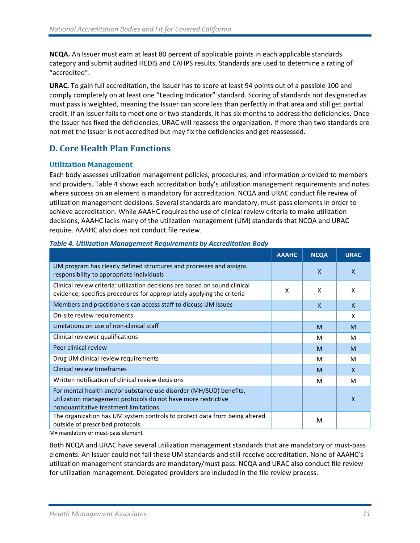**NCQA.** An Issuer must earn at least 80 percent of applicable points in each applicable standards category and submit audited HEDIS and CAHPS results. Standards are used to determine a rating of "accredited".

**URAC.** To gain full accreditation, the Issuer has to score at least 94 points out of a possible 100 and comply completely on at least one "Leading Indicator" standard. Scoring of standards not designated as must pass is weighted, meaning the Issuer can score less than perfectly in that area and still get partial credit. If an Issuer fails to meet one or two standards, it has six months to address the deficiencies. Once the Issuer has fixed the deficiencies, URAC will reassess the organization. If more than two standards are not met the Issuer is not accredited but may fix the deficiencies and get reassessed.

# <span id="page-14-0"></span>**D. Core Health Plan Functions**

#### **Utilization Management**

Each body assesses utilization management policies, procedures, and information provided to members and providers. Table 4 shows each accreditation body's utilization management requirements and notes where success on an element is mandatory for accreditation. NCQA and URAC conduct file review of utilization management decisions. Several standards are mandatory, must-pass elements in order to achieve accreditation. While AAAHC requires the use of clinical review criteria to make utilization decisions, AAAHC lacks many of the utilization management (UM) standards that NCQA and URAC require. AAAHC also does not conduct file review.

|                                                                                                                                                                               | <b>AAAHC</b> | <b>NCQA</b>  | <b>URAC</b>  |
|-------------------------------------------------------------------------------------------------------------------------------------------------------------------------------|--------------|--------------|--------------|
| UM program has clearly defined structures and processes and assigns<br>responsibility to appropriate individuals                                                              |              | $\mathsf{x}$ | $\mathsf{x}$ |
| Clinical review criteria: utilization decisions are based on sound clinical<br>evidence; specifies procedures for appropriately applying the criteria                         | X            | X            | X            |
| Members and practitioners can access staff to discuss UM issues                                                                                                               |              | $\mathsf{x}$ | $\mathsf{x}$ |
| On-site review requirements                                                                                                                                                   |              |              | X            |
| Limitations on use of non-clinical staff                                                                                                                                      |              | M            | M            |
| Clinical reviewer qualifications                                                                                                                                              |              | M            | M            |
| Peer clinical review                                                                                                                                                          |              | M            | M            |
| Drug UM clinical review requirements                                                                                                                                          |              | M            | м            |
| Clinical review timeframes                                                                                                                                                    |              | M            | $\mathsf{x}$ |
| Written notification of clinical review decisions                                                                                                                             |              | M            | M            |
| For mental health and/or substance use disorder (MH/SUD) benefits,<br>utilization management protocols do not have more restrictive<br>nonquantitative treatment limitations. |              |              | $\mathsf{x}$ |
| The organization has UM system controls to protect data from being altered<br>outside of prescribed protocols                                                                 |              | M            |              |

#### *Table 4. Utilization Management Requirements by Accreditation Body*

M= mandatory or must-pass element

Both NCQA and URAC have several utilization management standards that are mandatory or must-pass elements. An Issuer could not fail these UM standards and still receive accreditation. None of AAAHC's utilization management standards are mandatory/must pass. NCQA and URAC also conduct file review for utilization management. Delegated providers are included in the file review process.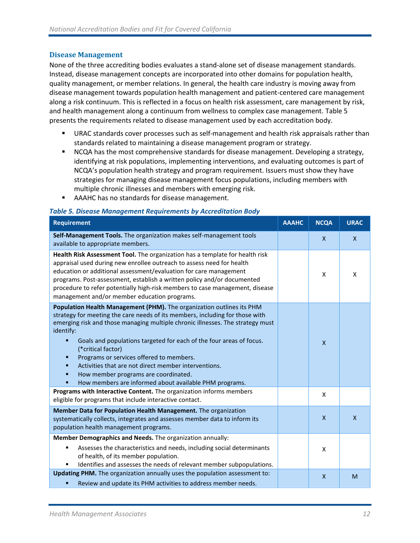#### **Disease Management**

None of the three accrediting bodies evaluates a stand-alone set of disease management standards. Instead, disease management concepts are incorporated into other domains for population health, quality management, or member relations. In general, the health care industry is moving away from disease management towards population health management and patient-centered care management along a risk continuum. This is reflected in a focus on health risk assessment, care management by risk, and health management along a continuum from wellness to complex case management. Table 5 presents the requirements related to disease management used by each accreditation body.

- **■** URAC standards cover processes such as self-management and health risk appraisals rather than standards related to maintaining a disease management program or strategy.
- **NCQA has the most comprehensive standards for disease management. Developing a strategy,** identifying at risk populations, implementing interventions, and evaluating outcomes is part of NCQA's population health strategy and program requirement. Issuers must show they have strategies for managing disease management focus populations, including members with multiple chronic illnesses and members with emerging risk.
- AAAHC has no standards for disease management.

#### *Table 5. Disease Management Requirements by Accreditation Body*

| <b>Requirement</b>                                                                                                                                                                                                                                                                                                                                                                                                                                                                                                                                                     | <b>AAAHC</b> | <b>NCQA</b>  | <b>URAC</b>  |
|------------------------------------------------------------------------------------------------------------------------------------------------------------------------------------------------------------------------------------------------------------------------------------------------------------------------------------------------------------------------------------------------------------------------------------------------------------------------------------------------------------------------------------------------------------------------|--------------|--------------|--------------|
| Self-Management Tools. The organization makes self-management tools<br>available to appropriate members.                                                                                                                                                                                                                                                                                                                                                                                                                                                               |              | $\mathsf{X}$ | $\mathsf{x}$ |
| Health Risk Assessment Tool. The organization has a template for health risk<br>appraisal used during new enrollee outreach to assess need for health<br>education or additional assessment/evaluation for care management<br>programs. Post-assessment, establish a written policy and/or documented<br>procedure to refer potentially high-risk members to case management, disease<br>management and/or member education programs.                                                                                                                                  |              | X            | X            |
| Population Health Management (PHM). The organization outlines its PHM<br>strategy for meeting the care needs of its members, including for those with<br>emerging risk and those managing multiple chronic illnesses. The strategy must<br>identify:<br>Goals and populations targeted for each of the four areas of focus.<br>(*critical factor)<br>Programs or services offered to members.<br>Ξ<br>Activities that are not direct member interventions.<br>How member programs are coordinated.<br>п<br>How members are informed about available PHM programs.<br>۰ |              | X            |              |
| Programs with Interactive Content. The organization informs members<br>eligible for programs that include interactive contact.                                                                                                                                                                                                                                                                                                                                                                                                                                         |              | X            |              |
| Member Data for Population Health Management. The organization<br>systematically collects, integrates and assesses member data to inform its<br>population health management programs.                                                                                                                                                                                                                                                                                                                                                                                 |              | X            | $\mathsf{x}$ |
| Member Demographics and Needs. The organization annually:                                                                                                                                                                                                                                                                                                                                                                                                                                                                                                              |              |              |              |
| Assesses the characteristics and needs, including social determinants<br>٠<br>of health, of its member population.<br>Identifies and assesses the needs of relevant member subpopulations.                                                                                                                                                                                                                                                                                                                                                                             |              | X            |              |
| Updating PHM. The organization annually uses the population assessment to:<br>Review and update its PHM activities to address member needs.<br>п                                                                                                                                                                                                                                                                                                                                                                                                                       |              | $\mathsf{x}$ | M            |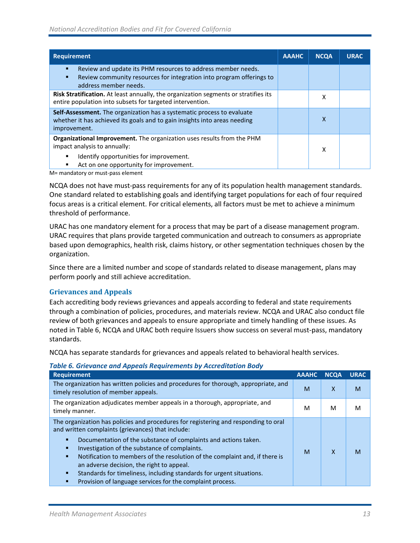| <b>Requirement</b>                                                                                                                                                                                       | <b>AAAHC</b> | <b>NCQA</b> | <b>URAC</b> |
|----------------------------------------------------------------------------------------------------------------------------------------------------------------------------------------------------------|--------------|-------------|-------------|
| Review and update its PHM resources to address member needs.<br>п<br>Review community resources for integration into program offerings to<br>address member needs.                                       |              |             |             |
| Risk Stratification. At least annually, the organization segments or stratifies its<br>entire population into subsets for targeted intervention.                                                         |              | x           |             |
| <b>Self-Assessment.</b> The organization has a systematic process to evaluate<br>whether it has achieved its goals and to gain insights into areas needing<br>improvement.                               |              | x           |             |
| <b>Organizational Improvement.</b> The organization uses results from the PHM<br>impact analysis to annually:<br>Identify opportunities for improvement.<br>Act on one opportunity for improvement.<br>٠ |              | x           |             |

M= mandatory or must-pass element

NCQA does not have must-pass requirements for any of its population health management standards. One standard related to establishing goals and identifying target populations for each of four required focus areas is a critical element. For critical elements, all factors must be met to achieve a minimum threshold of performance.

URAC has one mandatory element for a process that may be part of a disease management program. URAC requires that plans provide targeted communication and outreach to consumers as appropriate based upon demographics, health risk, claims history, or other segmentation techniques chosen by the organization.

Since there are a limited number and scope of standards related to disease management, plans may perform poorly and still achieve accreditation.

#### **Grievances and Appeals**

Each accrediting body reviews grievances and appeals according to federal and state requirements through a combination of policies, procedures, and materials review. NCQA and URAC also conduct file review of both grievances and appeals to ensure appropriate and timely handling of these issues. As noted in Table 6, NCQA and URAC both require Issuers show success on several must-pass, mandatory standards.

NCQA has separate standards for grievances and appeals related to behavioral health services.

|  |  |  | <b>Table 6. Grievance and Appeals Requirements by Accreditation Body</b> |  |  |  |
|--|--|--|--------------------------------------------------------------------------|--|--|--|
|--|--|--|--------------------------------------------------------------------------|--|--|--|

| <b>Requirement</b>                                                                                                                                                                                                                                                                                                                                                                                                                                                                                                                      | <b>AAAHC</b> | <b>NCQA</b> | <b>URAC</b> |
|-----------------------------------------------------------------------------------------------------------------------------------------------------------------------------------------------------------------------------------------------------------------------------------------------------------------------------------------------------------------------------------------------------------------------------------------------------------------------------------------------------------------------------------------|--------------|-------------|-------------|
| The organization has written policies and procedures for thorough, appropriate, and<br>timely resolution of member appeals.                                                                                                                                                                                                                                                                                                                                                                                                             | м            | X           | м           |
| The organization adjudicates member appeals in a thorough, appropriate, and<br>timely manner.                                                                                                                                                                                                                                                                                                                                                                                                                                           | м            | м           | м           |
| The organization has policies and procedures for registering and responding to oral<br>and written complaints (grievances) that include:<br>Documentation of the substance of complaints and actions taken.<br>п<br>Investigation of the substance of complaints.<br>Notification to members of the resolution of the complaint and, if there is<br>п<br>an adverse decision, the right to appeal.<br>Standards for timeliness, including standards for urgent situations.<br>Provision of language services for the complaint process. | M            | x           | M           |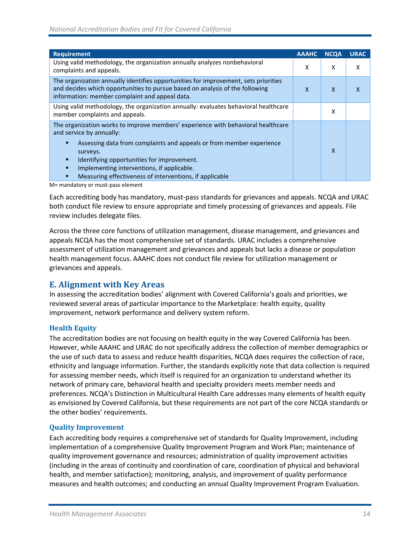| <b>Requirement</b>                                                                                                                                                                                                                                                                                                                                           | <b>AAAHC</b> | <b>NCQA</b> | <b>URAC</b> |
|--------------------------------------------------------------------------------------------------------------------------------------------------------------------------------------------------------------------------------------------------------------------------------------------------------------------------------------------------------------|--------------|-------------|-------------|
| Using valid methodology, the organization annually analyzes nonbehavioral<br>complaints and appeals.                                                                                                                                                                                                                                                         | X            | X           | x           |
| The organization annually identifies opportunities for improvement, sets priorities<br>and decides which opportunities to pursue based on analysis of the following<br>information: member complaint and appeal data.                                                                                                                                        | x            | X           |             |
| Using valid methodology, the organization annually: evaluates behavioral healthcare<br>member complaints and appeals.                                                                                                                                                                                                                                        |              | X           |             |
| The organization works to improve members' experience with behavioral healthcare<br>and service by annually:<br>Assessing data from complaints and appeals or from member experience<br>surveys.<br>Identifying opportunities for improvement.<br>п<br>Implementing interventions, if applicable.<br>Measuring effectiveness of interventions, if applicable |              | X           |             |

M= mandatory or must-pass element

Each accrediting body has mandatory, must-pass standards for grievances and appeals. NCQA and URAC both conduct file review to ensure appropriate and timely processing of grievances and appeals. File review includes delegate files.

Across the three core functions of utilization management, disease management, and grievances and appeals NCQA has the most comprehensive set of standards. URAC includes a comprehensive assessment of utilization management and grievances and appeals but lacks a disease or population health management focus. AAAHC does not conduct file review for utilization management or grievances and appeals.

#### <span id="page-17-0"></span>**E. Alignment with Key Areas**

In assessing the accreditation bodies' alignment with Covered California's goals and priorities, we reviewed several areas of particular importance to the Marketplace: health equity, quality improvement, network performance and delivery system reform.

#### **Health Equity**

The accreditation bodies are not focusing on health equity in the way Covered California has been. However, while AAAHC and URAC do not specifically address the collection of member demographics or the use of such data to assess and reduce health disparities, NCQA does requires the collection of race, ethnicity and language information. Further, the standards explicitly note that data collection is required for assessing member needs, which itself is required for an organization to understand whether its network of primary care, behavioral health and specialty providers meets member needs and preferences. NCQA's Distinction in Multicultural Health Care addresses many elements of health equity as envisioned by Covered California, but these requirements are not part of the core NCQA standards or the other bodies' requirements.

#### **Quality Improvement**

Each accrediting body requires a comprehensive set of standards for Quality Improvement, including implementation of a comprehensive Quality Improvement Program and Work Plan; maintenance of quality improvement governance and resources; administration of quality improvement activities (including in the areas of continuity and coordination of care, coordination of physical and behavioral health, and member satisfaction); monitoring, analysis, and improvement of quality performance measures and health outcomes; and conducting an annual Quality Improvement Program Evaluation.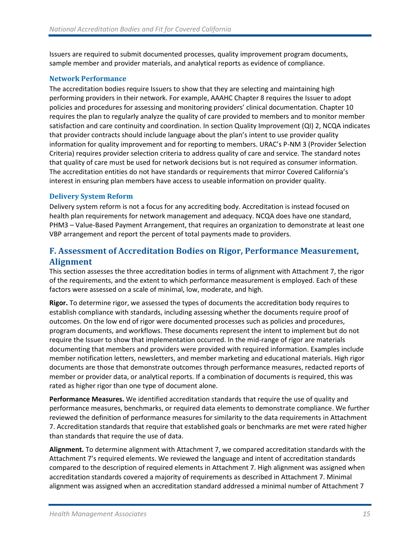Issuers are required to submit documented processes, quality improvement program documents, sample member and provider materials, and analytical reports as evidence of compliance.

#### **Network Performance**

The accreditation bodies require Issuers to show that they are selecting and maintaining high performing providers in their network. For example, AAAHC Chapter 8 requires the Issuer to adopt policies and procedures for assessing and monitoring providers' clinical documentation. Chapter 10 requires the plan to regularly analyze the quality of care provided to members and to monitor member satisfaction and care continuity and coordination. In section Quality Improvement (QI) 2, NCQA indicates that provider contracts should include language about the plan's intent to use provider quality information for quality improvement and for reporting to members. URAC's P-NM 3 (Provider Selection Criteria) requires provider selection criteria to address quality of care and service. The standard notes that quality of care must be used for network decisions but is not required as consumer information. The accreditation entities do not have standards or requirements that mirror Covered California's interest in ensuring plan members have access to useable information on provider quality.

#### **Delivery System Reform**

Delivery system reform is not a focus for any accrediting body. Accreditation is instead focused on health plan requirements for network management and adequacy. NCQA does have one standard, PHM3 – Value-Based Payment Arrangement, that requires an organization to demonstrate at least one VBP arrangement and report the percent of total payments made to providers.

# <span id="page-18-0"></span>**F. Assessment of Accreditation Bodies on Rigor, Performance Measurement, Alignment**

This section assesses the three accreditation bodies in terms of alignment with Attachment 7, the rigor of the requirements, and the extent to which performance measurement is employed. Each of these factors were assessed on a scale of minimal, low, moderate, and high.

**Rigor.** To determine rigor, we assessed the types of documents the accreditation body requires to establish compliance with standards, including assessing whether the documents require proof of outcomes. On the low end of rigor were documented processes such as policies and procedures, program documents, and workflows. These documents represent the intent to implement but do not require the Issuer to show that implementation occurred. In the mid-range of rigor are materials documenting that members and providers were provided with required information. Examples include member notification letters, newsletters, and member marketing and educational materials. High rigor documents are those that demonstrate outcomes through performance measures, redacted reports of member or provider data, or analytical reports. If a combination of documents is required, this was rated as higher rigor than one type of document alone.

**Performance Measures.** We identified accreditation standards that require the use of quality and performance measures, benchmarks, or required data elements to demonstrate compliance. We further reviewed the definition of performance measures for similarity to the data requirements in Attachment 7. Accreditation standards that require that established goals or benchmarks are met were rated higher than standards that require the use of data.

**Alignment.** To determine alignment with Attachment 7, we compared accreditation standards with the Attachment 7's required elements. We reviewed the language and intent of accreditation standards compared to the description of required elements in Attachment 7. High alignment was assigned when accreditation standards covered a majority of requirements as described in Attachment 7. Minimal alignment was assigned when an accreditation standard addressed a minimal number of Attachment 7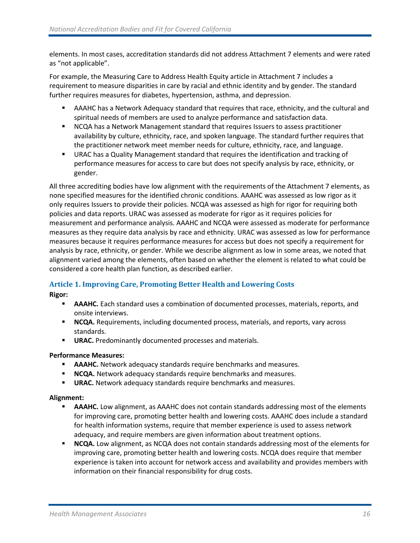elements. In most cases, accreditation standards did not address Attachment 7 elements and were rated as "not applicable".

For example, the Measuring Care to Address Health Equity article in Attachment 7 includes a requirement to measure disparities in care by racial and ethnic identity and by gender. The standard further requires measures for diabetes, hypertension, asthma, and depression.

- **E** AAAHC has a Network Adequacy standard that requires that race, ethnicity, and the cultural and spiritual needs of members are used to analyze performance and satisfaction data.
- NCQA has a Network Management standard that requires Issuers to assess practitioner availability by culture, ethnicity, race, and spoken language. The standard further requires that the practitioner network meet member needs for culture, ethnicity, race, and language.
- **■** URAC has a Quality Management standard that requires the identification and tracking of performance measures for access to care but does not specify analysis by race, ethnicity, or gender.

All three accrediting bodies have low alignment with the requirements of the Attachment 7 elements, as none specified measures for the identified chronic conditions. AAAHC was assessed as low rigor as it only requires Issuers to provide their policies. NCQA was assessed as high for rigor for requiring both policies and data reports. URAC was assessed as moderate for rigor as it requires policies for measurement and performance analysis. AAAHC and NCQA were assessed as moderate for performance measures as they require data analysis by race and ethnicity. URAC was assessed as low for performance measures because it requires performance measures for access but does not specify a requirement for analysis by race, ethnicity, or gender. While we describe alignment as low in some areas, we noted that alignment varied among the elements, often based on whether the element is related to what could be considered a core health plan function, as described earlier.

# **Article 1. Improving Care, Promoting Better Health and Lowering Costs**

**Rigor:** 

- **EXAAME.** Each standard uses a combination of documented processes, materials, reports, and onsite interviews.
- **EXECCA.** Requirements, including documented process, materials, and reports, vary across standards.
- **URAC.** Predominantly documented processes and materials.

#### **Performance Measures:**

- **AAAHC.** Network adequacy standards require benchmarks and measures.
- **E NCQA.** Network adequacy standards require benchmarks and measures.
- **URAC.** Network adequacy standards require benchmarks and measures.

- **EXAAME.** Low alignment, as AAAHC does not contain standards addressing most of the elements for improving care, promoting better health and lowering costs. AAAHC does include a standard for health information systems, require that member experience is used to assess network adequacy, and require members are given information about treatment options.
- **NCQA.** Low alignment, as NCQA does not contain standards addressing most of the elements for improving care, promoting better health and lowering costs. NCQA does require that member experience is taken into account for network access and availability and provides members with information on their financial responsibility for drug costs.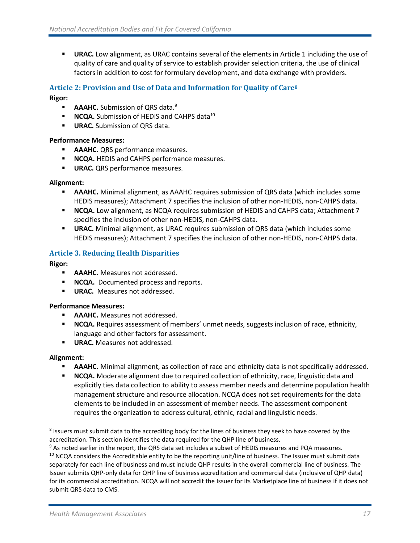**■ URAC.** Low alignment, as URAC contains several of the elements in Article 1 including the use of quality of care and quality of service to establish provider selection criteria, the use of clinical factors in addition to cost for formulary development, and data exchange with providers.

#### **Article 2: Provision and Use of Data and Information for Quality of Care<sup>8</sup>**

#### **Rigor:**

- **AAAHC.** Submission of ORS data.<sup>9</sup>
- **NCQA.** Submission of HEDIS and CAHPS data<sup>10</sup>
- **URAC.** Submission of ORS data.

#### **Performance Measures:**

- **E AAAHC.** QRS performance measures.
- **NCQA.** HEDIS and CAHPS performance measures.
- **URAC.** QRS performance measures.

#### **Alignment:**

- AAAHC. Minimal alignment, as AAAHC requires submission of QRS data (which includes some HEDIS measures); Attachment 7 specifies the inclusion of other non-HEDIS, non-CAHPS data.
- **NCQA.** Low alignment, as NCQA requires submission of HEDIS and CAHPS data; Attachment 7 specifies the inclusion of other non-HEDIS, non-CAHPS data.
- **URAC.** Minimal alignment, as URAC requires submission of QRS data (which includes some HEDIS measures); Attachment 7 specifies the inclusion of other non-HEDIS, non-CAHPS data.

#### **Article 3. Reducing Health Disparities**

#### **Rigor:**

- **E AAAHC.** Measures not addressed.
- **NCQA.** Documented process and reports.
- **URAC.** Measures not addressed.

#### **Performance Measures:**

- **E AAAHC.** Measures not addressed.
- **EXPLOMA.** Requires assessment of members' unmet needs, suggests inclusion of race, ethnicity, language and other factors for assessment.
- **URAC.** Measures not addressed.

- AAAHC. Minimal alignment, as collection of race and ethnicity data is not specifically addressed.
- **NCQA.** Moderate alignment due to required collection of ethnicity, race, linguistic data and explicitly ties data collection to ability to assess member needs and determine population health management structure and resource allocation. NCQA does not set requirements for the data elements to be included in an assessment of member needs. The assessment component requires the organization to address cultural, ethnic, racial and linguistic needs.

 $^8$  Issuers must submit data to the accrediting body for the lines of business they seek to have covered by the accreditation. This section identifies the data required for the QHP line of business.

<sup>&</sup>lt;sup>9</sup> As noted earlier in the report, the QRS data set includes a subset of HEDIS measures and PQA measures. <sup>10</sup> NCQA considers the Accreditable entity to be the reporting unit/line of business. The Issuer must submit data separately for each line of business and must include QHP results in the overall commercial line of business. The Issuer submits QHP-only data for QHP line of business accreditation and commercial data (inclusive of QHP data) for its commercial accreditation. NCQA will not accredit the Issuer for its Marketplace line of business if it does not submit QRS data to CMS.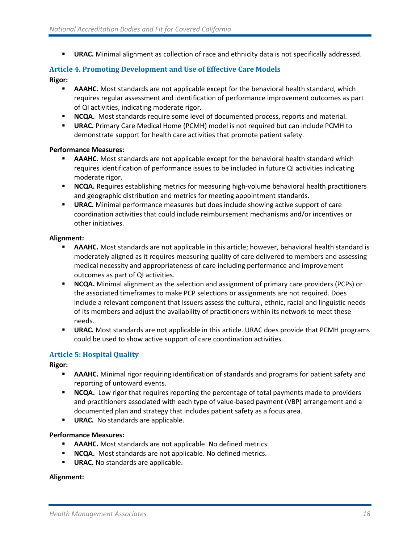**■ URAC.** Minimal alignment as collection of race and ethnicity data is not specifically addressed.

# **Article 4. Promoting Development and Use of Effective Care Models**

#### **Rigor:**

- **EXAAMIC.** Most standards are not applicable except for the behavioral health standard, which requires regular assessment and identification of performance improvement outcomes as part of QI activities, indicating moderate rigor.
- **NCQA.** Most standards require some level of documented process, reports and material.
- **URAC.** Primary Care Medical Home (PCMH) model is not required but can include PCMH to demonstrate support for health care activities that promote patient safety.

#### **Performance Measures:**

- **EXAMPE AAAHC.** Most standards are not applicable except for the behavioral health standard which requires identification of performance issues to be included in future QI activities indicating moderate rigor.
- **EXECCA.** Requires establishing metrics for measuring high-volume behavioral health practitioners and geographic distribution and metrics for meeting appointment standards.
- **URAC.** Minimal performance measures but does include showing active support of care coordination activities that could include reimbursement mechanisms and/or incentives or other initiatives.

#### **Alignment:**

- **EXAAMIC.** Most standards are not applicable in this article; however, behavioral health standard is moderately aligned as it requires measuring quality of care delivered to members and assessing medical necessity and appropriateness of care including performance and improvement outcomes as part of QI activities.
- **NCQA.** Minimal alignment as the selection and assignment of primary care providers (PCPs) or the associated timeframes to make PCP selections or assignments are not required. Does include a relevant component that Issuers assess the cultural, ethnic, racial and linguistic needs of its members and adjust the availability of practitioners within its network to meet these needs.
- **URAC.** Most standards are not applicable in this article. URAC does provide that PCMH programs could be used to show active support of care coordination activities.

#### **Article 5: Hospital Quality**

**Rigor:** 

- **E** AAAHC. Minimal rigor requiring identification of standards and programs for patient safety and reporting of untoward events.
- **EXECCA.** Low rigor that requires reporting the percentage of total payments made to providers and practitioners associated with each type of value-based payment (VBP) arrangement and a documented plan and strategy that includes patient safety as a focus area.
- **URAC.** No standards are applicable.

#### **Performance Measures:**

- **E** AAAHC. Most standards are not applicable. No defined metrics.
- **NCQA.** Most standards are not applicable. No defined metrics.
- **URAC.** No standards are applicable.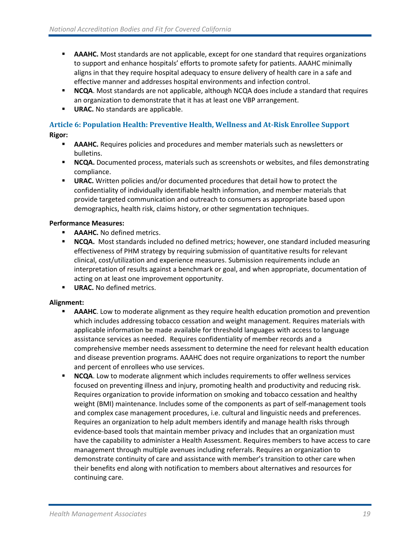- **EXAAHC.** Most standards are not applicable, except for one standard that requires organizations to support and enhance hospitals' efforts to promote safety for patients. AAAHC minimally aligns in that they require hospital adequacy to ensure delivery of health care in a safe and effective manner and addresses hospital environments and infection control.
- **NCQA**. Most standards are not applicable, although NCQA does include a standard that requires an organization to demonstrate that it has at least one VBP arrangement.
- **URAC.** No standards are applicable.

### **Article 6: Population Health: Preventive Health, Wellness and At-Risk Enrollee Support Rigor:**

- **EXAMPLE AAAHC.** Requires policies and procedures and member materials such as newsletters or bulletins.
- **NCQA.** Documented process, materials such as screenshots or websites, and files demonstrating compliance.
- **URAC.** Written policies and/or documented procedures that detail how to protect the confidentiality of individually identifiable health information, and member materials that provide targeted communication and outreach to consumers as appropriate based upon demographics, health risk, claims history, or other segmentation techniques.

#### **Performance Measures:**

- **AAAHC.** No defined metrics.
- **NCQA.** Most standards included no defined metrics; however, one standard included measuring effectiveness of PHM strategy by requiring submission of quantitative results for relevant clinical, cost/utilization and experience measures. Submission requirements include an interpretation of results against a benchmark or goal, and when appropriate, documentation of acting on at least one improvement opportunity.
- **URAC.** No defined metrics.

- **AAAHC**. Low to moderate alignment as they require health education promotion and prevention which includes addressing tobacco cessation and weight management. Requires materials with applicable information be made available for threshold languages with access to language assistance services as needed. Requires confidentiality of member records and a comprehensive member needs assessment to determine the need for relevant health education and disease prevention programs. AAAHC does not require organizations to report the number and percent of enrollees who use services.
- **NCQA**. Low to moderate alignment which includes requirements to offer wellness services focused on preventing illness and injury, promoting health and productivity and reducing risk. Requires organization to provide information on smoking and tobacco cessation and healthy weight (BMI) maintenance. Includes some of the components as part of self-management tools and complex case management procedures, i.e. cultural and linguistic needs and preferences. Requires an organization to help adult members identify and manage health risks through evidence-based tools that maintain member privacy and includes that an organization must have the capability to administer a Health Assessment. Requires members to have access to care management through multiple avenues including referrals. Requires an organization to demonstrate continuity of care and assistance with member's transition to other care when their benefits end along with notification to members about alternatives and resources for continuing care.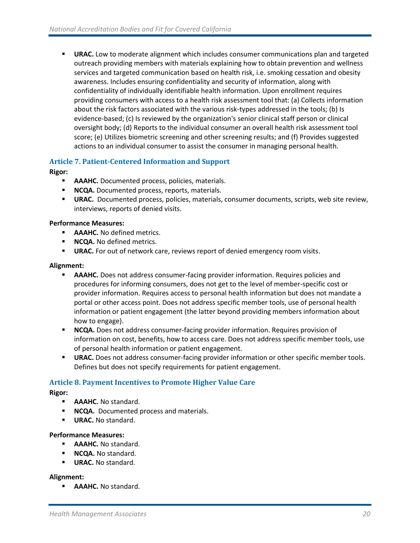**■ URAC.** Low to moderate alignment which includes consumer communications plan and targeted outreach providing members with materials explaining how to obtain prevention and wellness services and targeted communication based on health risk, i.e. smoking cessation and obesity awareness. Includes ensuring confidentiality and security of information, along with confidentiality of individually identifiable health information. Upon enrollment requires providing consumers with access to a health risk assessment tool that: (a) Collects information about the risk factors associated with the various risk-types addressed in the tools; (b) Is evidence-based; (c) Is reviewed by the organization's senior clinical staff person or clinical oversight body; (d) Reports to the individual consumer an overall health risk assessment tool score; (e) Utilizes biometric screening and other screening results; and (f) Provides suggested actions to an individual consumer to assist the consumer in managing personal health.

#### **Article 7. Patient-Centered Information and Support**

#### **Rigor:**

- AAAHC. Documented process, policies, materials.
- **EXECCA.** Documented process, reports, materials.
- **URAC.** Documented process, policies, materials, consumer documents, scripts, web site review, interviews, reports of denied visits.

#### **Performance Measures:**

- **AAAHC.** No defined metrics.
- **NCQA.** No defined metrics.
- **EXAC.** For out of network care, reviews report of denied emergency room visits.

#### **Alignment:**

- AAAHC. Does not address consumer-facing provider information. Requires policies and procedures for informing consumers, does not get to the level of member-specific cost or provider information. Requires access to personal health information but does not mandate a portal or other access point. Does not address specific member tools, use of personal health information or patient engagement (the latter beyond providing members information about how to engage).
- **EXECCA.** Does not address consumer-facing provider information. Requires provision of information on cost, benefits, how to access care. Does not address specific member tools, use of personal health information or patient engagement.
- **URAC.** Does not address consumer-facing provider information or other specific member tools. Defines but does not specify requirements for patient engagement.

#### **Article 8. Payment Incentives to Promote Higher Value Care**

**Rigor:** 

- **E AAAHC.** No standard.
- **NCQA.** Documented process and materials.
- **URAC.** No standard.

#### **Performance Measures:**

- **AAAHC.** No standard.
- **NCQA.** No standard.
- **URAC.** No standard.

#### **Alignment:**

**E** AAAHC. No standard.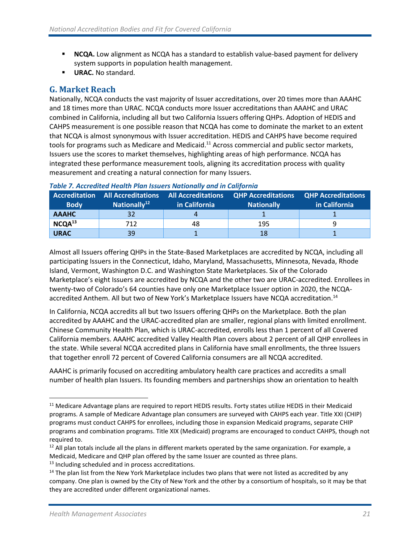- **EXTENCA.** Low alignment as NCQA has a standard to establish value-based payment for delivery system supports in population health management.
- **URAC.** No standard.

### <span id="page-24-0"></span>**G. Market Reach**

Nationally, NCQA conducts the vast majority of Issuer accreditations, over 20 times more than AAAHC and 18 times more than URAC. NCQA conducts more Issuer accreditations than AAAHC and URAC combined in California, including all but two California Issuers offering QHPs. Adoption of HEDIS and CAHPS measurement is one possible reason that NCQA has come to dominate the market to an extent that NCQA is almost synonymous with Issuer accreditation. HEDIS and CAHPS have become required tools for programs such as Medicare and Medicaid.<sup>11</sup> Across commercial and public sector markets, Issuers use the scores to market themselves, highlighting areas of high performance. NCQA has integrated these performance measurement tools, aligning its accreditation process with quality measurement and creating a natural connection for many Issuers.

| <b>Accreditation</b><br><b>Body</b> | <b>All Accreditations</b><br>Nationally <sup>12</sup> | <b>All Accreditations</b><br>in California | <b>QHP Accreditations QHP Accreditations</b><br><b>Nationally</b> | in California |
|-------------------------------------|-------------------------------------------------------|--------------------------------------------|-------------------------------------------------------------------|---------------|
| <b>AAAHC</b>                        |                                                       |                                            |                                                                   |               |
| NCQA <sup>13</sup>                  | 712                                                   | 48                                         | 195                                                               |               |
| <b>URAC</b>                         | 39                                                    |                                            | 18                                                                |               |

#### *Table 7. Accredited Health Plan Issuers Nationally and in California*

Almost all Issuers offering QHPs in the State-Based Marketplaces are accredited by NCQA, including all participating Issuers in the Connecticut, Idaho, Maryland, Massachusetts, Minnesota, Nevada, Rhode Island, Vermont, Washington D.C. and Washington State Marketplaces. Six of the Colorado Marketplace's eight Issuers are accredited by NCQA and the other two are URAC-accredited. Enrollees in twenty-two of Colorado's 64 counties have only one Marketplace Issuer option in 2020, the NCQAaccredited Anthem. All but two of New York's Marketplace Issuers have NCQA accreditation. 14

In California, NCQA accredits all but two Issuers offering QHPs on the Marketplace. Both the plan accredited by AAAHC and the URAC-accredited plan are smaller, regional plans with limited enrollment. Chinese Community Health Plan, which is URAC-accredited, enrolls less than 1 percent of all Covered California members. AAAHC accredited Valley Health Plan covers about 2 percent of all QHP enrollees in the state. While several NCQA accredited plans in California have small enrollments, the three Issuers that together enroll 72 percent of Covered California consumers are all NCQA accredited.

AAAHC is primarily focused on accrediting ambulatory health care practices and accredits a small number of health plan Issuers. Its founding members and partnerships show an orientation to health

<sup>&</sup>lt;sup>11</sup> Medicare Advantage plans are required to report HEDIS results. Forty states utilize HEDIS in their Medicaid programs. A sample of Medicare Advantage plan consumers are surveyed with CAHPS each year. Title XXI (CHIP) programs must conduct CAHPS for enrollees, including those in expansion Medicaid programs, separate CHIP programs and combination programs. Title XIX (Medicaid) programs are encouraged to conduct CAHPS, though not required to.

 $12$  All plan totals include all the plans in different markets operated by the same organization. For example, a Medicaid, Medicare and QHP plan offered by the same Issuer are counted as three plans.

<sup>&</sup>lt;sup>13</sup> Including scheduled and in process accreditations.

<sup>&</sup>lt;sup>14</sup> The plan list from the New York Marketplace includes two plans that were not listed as accredited by any company. One plan is owned by the City of New York and the other by a consortium of hospitals, so it may be that they are accredited under different organizational names.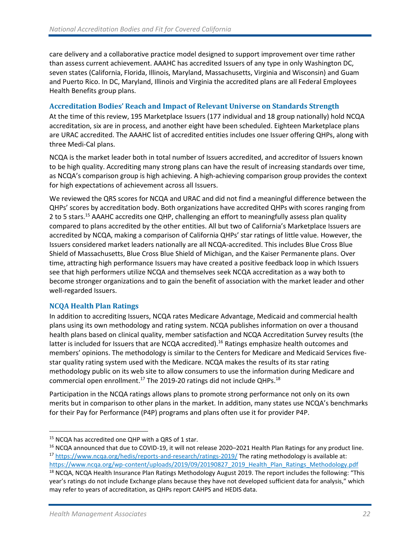care delivery and a collaborative practice model designed to support improvement over time rather than assess current achievement. AAAHC has accredited Issuers of any type in only Washington DC, seven states (California, Florida, Illinois, Maryland, Massachusetts, Virginia and Wisconsin) and Guam and Puerto Rico. In DC, Maryland, Illinois and Virginia the accredited plans are all Federal Employees Health Benefits group plans.

#### **Accreditation Bodies' Reach and Impact of Relevant Universe on Standards Strength**

At the time of this review, 195 Marketplace Issuers (177 individual and 18 group nationally) hold NCQA accreditation, six are in process, and another eight have been scheduled. Eighteen Marketplace plans are URAC accredited. The AAAHC list of accredited entities includes one Issuer offering QHPs, along with three Medi-Cal plans.

NCQA is the market leader both in total number of Issuers accredited, and accreditor of Issuers known to be high quality. Accrediting many strong plans can have the result of increasing standards over time, as NCQA's comparison group is high achieving. A high-achieving comparison group provides the context for high expectations of achievement across all Issuers.

We reviewed the QRS scores for NCQA and URAC and did not find a meaningful difference between the QHPs' scores by accreditation body. Both organizations have accredited QHPs with scores ranging from 2 to 5 stars.<sup>15</sup> AAAHC accredits one QHP, challenging an effort to meaningfully assess plan quality compared to plans accredited by the other entities. All but two of California's Marketplace Issuers are accredited by NCQA, making a comparison of California QHPs' star ratings of little value. However, the Issuers considered market leaders nationally are all NCQA-accredited. This includes Blue Cross Blue Shield of Massachusetts, Blue Cross Blue Shield of Michigan, and the Kaiser Permanente plans. Over time, attracting high performance Issuers may have created a positive feedback loop in which Issuers see that high performers utilize NCQA and themselves seek NCQA accreditation as a way both to become stronger organizations and to gain the benefit of association with the market leader and other well-regarded Issuers.

#### **NCQA Health Plan Ratings**

In addition to accrediting Issuers, NCQA rates Medicare Advantage, Medicaid and commercial health plans using its own methodology and rating system. NCQA publishes information on over a thousand health plans based on clinical quality, member satisfaction and NCQA Accreditation Survey results (the latter is included for Issuers that are NCQA accredited).<sup>16</sup> Ratings emphasize health outcomes and members' opinions. The methodology is similar to the Centers for Medicare and Medicaid Services fivestar quality rating system used with the Medicare. NCQA makes the results of its star rating methodology public on its web site to allow consumers to use the information during Medicare and commercial open enrollment.<sup>17</sup> The 2019-20 ratings did not include QHPs.<sup>18</sup>

Participation in the NCQA ratings allows plans to promote strong performance not only on its own merits but in comparison to other plans in the market. In addition, many states use NCQA's benchmarks for their Pay for Performance (P4P) programs and plans often use it for provider P4P.

[https://www.ncqa.org/wp-content/uploads/2019/09/20190827\\_2019\\_Health\\_Plan\\_Ratings\\_Methodology.pdf](https://www.ncqa.org/wp-content/uploads/2019/09/20190827_2019_Health_Plan_Ratings_Methodology.pdf)

<sup>&</sup>lt;sup>15</sup> NCQA has accredited one QHP with a QRS of 1 star.

<sup>&</sup>lt;sup>16</sup> NCQA announced that due to COVID-19, it will not release 2020–2021 Health Plan Ratings for any product line. <sup>17</sup> <https://www.ncqa.org/hedis/reports-and-research/ratings-2019/> The rating methodology is available at:

<sup>&</sup>lt;sup>18</sup> NCQA, NCQA Health Insurance Plan Ratings Methodology August 2019. The report includes the following: "This year's ratings do not include Exchange plans because they have not developed sufficient data for analysis," which may refer to years of accreditation, as QHPs report CAHPS and HEDIS data.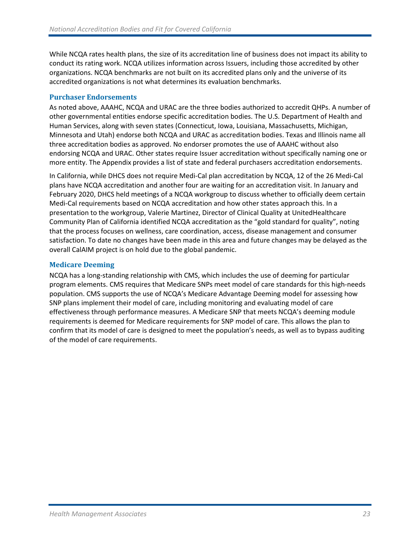While NCQA rates health plans, the size of its accreditation line of business does not impact its ability to conduct its rating work. NCQA utilizes information across Issuers, including those accredited by other organizations. NCQA benchmarks are not built on its accredited plans only and the universe of its accredited organizations is not what determines its evaluation benchmarks.

#### **Purchaser Endorsements**

As noted above, AAAHC, NCQA and URAC are the three bodies authorized to accredit QHPs. A number of other governmental entities endorse specific accreditation bodies. The U.S. Department of Health and Human Services, along with seven states (Connecticut, Iowa, Louisiana, Massachusetts, Michigan, Minnesota and Utah) endorse both NCQA and URAC as accreditation bodies. Texas and Illinois name all three accreditation bodies as approved. No endorser promotes the use of AAAHC without also endorsing NCQA and URAC. Other states require Issuer accreditation without specifically naming one or more entity. The Appendix provides a list of state and federal purchasers accreditation endorsements.

In California, while DHCS does not require Medi-Cal plan accreditation by NCQA, 12 of the 26 Medi-Cal plans have NCQA accreditation and another four are waiting for an accreditation visit. In January and February 2020, DHCS held meetings of a NCQA workgroup to discuss whether to officially deem certain Medi-Cal requirements based on NCQA accreditation and how other states approach this. In a presentation to the workgroup, Valerie Martinez, Director of Clinical Quality at UnitedHealthcare Community Plan of California identified NCQA accreditation as the "gold standard for quality", noting that the process focuses on wellness, care coordination, access, disease management and consumer satisfaction. To date no changes have been made in this area and future changes may be delayed as the overall CalAIM project is on hold due to the global pandemic.

#### **Medicare Deeming**

NCQA has a long-standing relationship with CMS, which includes the use of deeming for particular program elements. CMS requires that Medicare SNPs meet model of care standards for this high-needs population. CMS supports the use of NCQA's Medicare Advantage Deeming model for assessing how SNP plans implement their model of care, including monitoring and evaluating model of care effectiveness through performance measures. A Medicare SNP that meets NCQA's deeming module requirements is deemed for Medicare requirements for SNP model of care. This allows the plan to confirm that its model of care is designed to meet the population's needs, as well as to bypass auditing of the model of care requirements.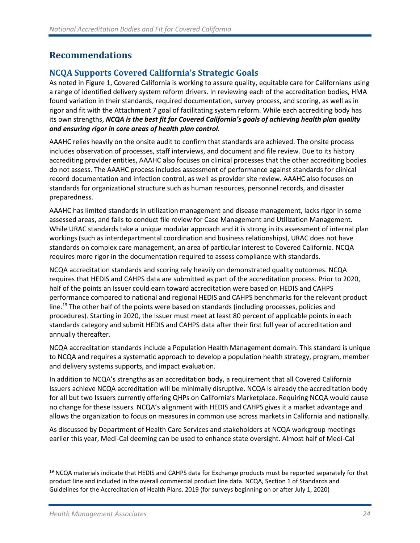# <span id="page-27-0"></span>**Recommendations**

# **NCQA Supports Covered California's Strategic Goals**

As noted in Figure 1, Covered California is working to assure quality, equitable care for Californians using a range of identified delivery system reform drivers. In reviewing each of the accreditation bodies, HMA found variation in their standards, required documentation, survey process, and scoring, as well as in rigor and fit with the Attachment 7 goal of facilitating system reform. While each accrediting body has its own strengths, *NCQA is the best fit for Covered California's goals of achieving health plan quality and ensuring rigor in core areas of health plan control.*

AAAHC relies heavily on the onsite audit to confirm that standards are achieved. The onsite process includes observation of processes, staff interviews, and document and file review. Due to its history accrediting provider entities, AAAHC also focuses on clinical processes that the other accrediting bodies do not assess. The AAAHC process includes assessment of performance against standards for clinical record documentation and infection control, as well as provider site review. AAAHC also focuses on standards for organizational structure such as human resources, personnel records, and disaster preparedness.

AAAHC has limited standards in utilization management and disease management, lacks rigor in some assessed areas, and fails to conduct file review for Case Management and Utilization Management. While URAC standards take a unique modular approach and it is strong in its assessment of internal plan workings (such as interdepartmental coordination and business relationships), URAC does not have standards on complex care management, an area of particular interest to Covered California. NCQA requires more rigor in the documentation required to assess compliance with standards.

NCQA accreditation standards and scoring rely heavily on demonstrated quality outcomes. NCQA requires that HEDIS and CAHPS data are submitted as part of the accreditation process. Prior to 2020, half of the points an Issuer could earn toward accreditation were based on HEDIS and CAHPS performance compared to national and regional HEDIS and CAHPS benchmarks for the relevant product line.<sup>19</sup> The other half of the points were based on standards (including processes, policies and procedures). Starting in 2020, the Issuer must meet at least 80 percent of applicable points in each standards category and submit HEDIS and CAHPS data after their first full year of accreditation and annually thereafter.

NCQA accreditation standards include a Population Health Management domain. This standard is unique to NCQA and requires a systematic approach to develop a population health strategy, program, member and delivery systems supports, and impact evaluation.

In addition to NCQA's strengths as an accreditation body, a requirement that all Covered California Issuers achieve NCQA accreditation will be minimally disruptive. NCQA is already the accreditation body for all but two Issuers currently offering QHPs on California's Marketplace. Requiring NCQA would cause no change for these Issuers. NCQA's alignment with HEDIS and CAHPS gives it a market advantage and allows the organization to focus on measures in common use across markets in California and nationally.

As discussed by Department of Health Care Services and stakeholders at NCQA workgroup meetings earlier this year, Medi-Cal deeming can be used to enhance state oversight. Almost half of Medi-Cal

<sup>&</sup>lt;sup>19</sup> NCQA materials indicate that HEDIS and CAHPS data for Exchange products must be reported separately for that product line and included in the overall commercial product line data. NCQA, Section 1 of Standards and Guidelines for the Accreditation of Health Plans. 2019 (for surveys beginning on or after July 1, 2020)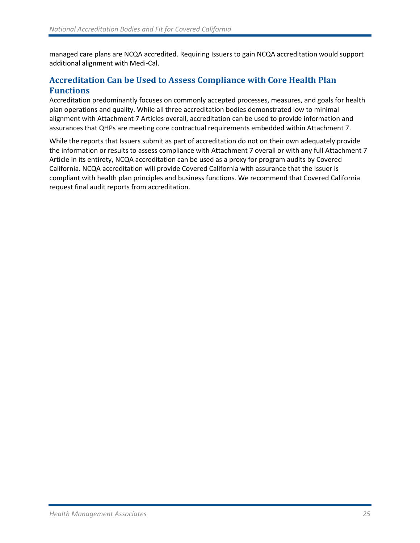managed care plans are NCQA accredited. Requiring Issuers to gain NCQA accreditation would support additional alignment with Medi-Cal.

# **Accreditation Can be Used to Assess Compliance with Core Health Plan Functions**

Accreditation predominantly focuses on commonly accepted processes, measures, and goals for health plan operations and quality. While all three accreditation bodies demonstrated low to minimal alignment with Attachment 7 Articles overall, accreditation can be used to provide information and assurances that QHPs are meeting core contractual requirements embedded within Attachment 7.

While the reports that Issuers submit as part of accreditation do not on their own adequately provide the information or results to assess compliance with Attachment 7 overall or with any full Attachment 7 Article in its entirety, NCQA accreditation can be used as a proxy for program audits by Covered California. NCQA accreditation will provide Covered California with assurance that the Issuer is compliant with health plan principles and business functions. We recommend that Covered California request final audit reports from accreditation.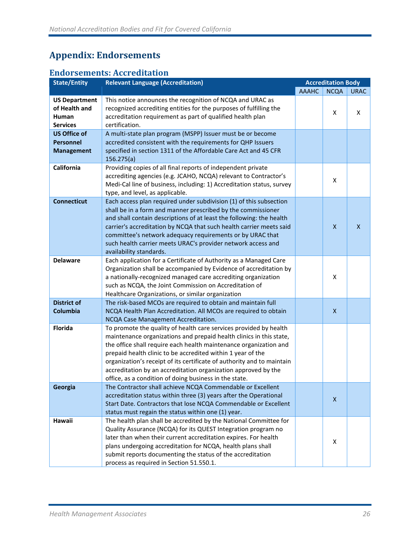# <span id="page-29-0"></span>**Appendix: Endorsements**

# **Endorsements: Accreditation**

| <b>State/Entity</b>                                               | <b>Relevant Language (Accreditation)</b>                                                                                                                                                                                                                                                                                                                                                                                                                                           | <b>Accreditation Body</b> |                           |              |
|-------------------------------------------------------------------|------------------------------------------------------------------------------------------------------------------------------------------------------------------------------------------------------------------------------------------------------------------------------------------------------------------------------------------------------------------------------------------------------------------------------------------------------------------------------------|---------------------------|---------------------------|--------------|
|                                                                   |                                                                                                                                                                                                                                                                                                                                                                                                                                                                                    | <b>AAAHC</b>              | <b>NCQA</b>               | <b>URAC</b>  |
| <b>US Department</b><br>of Health and<br>Human<br><b>Services</b> | This notice announces the recognition of NCQA and URAC as<br>recognized accrediting entities for the purposes of fulfilling the<br>accreditation requirement as part of qualified health plan<br>certification.                                                                                                                                                                                                                                                                    |                           | X                         | X            |
| <b>US Office of</b><br><b>Personnel</b><br><b>Management</b>      | A multi-state plan program (MSPP) Issuer must be or become<br>accredited consistent with the requirements for QHP Issuers<br>specified in section 1311 of the Affordable Care Act and 45 CFR<br>156.275(a)                                                                                                                                                                                                                                                                         |                           |                           |              |
| California                                                        | Providing copies of all final reports of independent private<br>accrediting agencies (e.g. JCAHO, NCQA) relevant to Contractor's<br>Medi-Cal line of business, including: 1) Accreditation status, survey<br>type, and level, as applicable.                                                                                                                                                                                                                                       |                           | X                         |              |
| <b>Connecticut</b>                                                | Each access plan required under subdivision (1) of this subsection<br>shall be in a form and manner prescribed by the commissioner<br>and shall contain descriptions of at least the following: the health<br>carrier's accreditation by NCQA that such health carrier meets said<br>committee's network adequacy requirements or by URAC that<br>such health carrier meets URAC's provider network access and<br>availability standards.                                          |                           | $\mathsf{X}$              | $\mathsf{x}$ |
| <b>Delaware</b>                                                   | Each application for a Certificate of Authority as a Managed Care<br>Organization shall be accompanied by Evidence of accreditation by<br>a nationally-recognized managed care accrediting organization<br>such as NCQA, the Joint Commission on Accreditation of<br>Healthcare Organizations, or similar organization                                                                                                                                                             |                           | X                         |              |
| <b>District of</b><br><b>Columbia</b>                             | The risk-based MCOs are required to obtain and maintain full<br>NCQA Health Plan Accreditation. All MCOs are required to obtain<br>NCQA Case Management Accreditation.                                                                                                                                                                                                                                                                                                             |                           | $\boldsymbol{\mathsf{X}}$ |              |
| Florida                                                           | To promote the quality of health care services provided by health<br>maintenance organizations and prepaid health clinics in this state,<br>the office shall require each health maintenance organization and<br>prepaid health clinic to be accredited within 1 year of the<br>organization's receipt of its certificate of authority and to maintain<br>accreditation by an accreditation organization approved by the<br>office, as a condition of doing business in the state. |                           |                           |              |
| Georgia                                                           | The Contractor shall achieve NCQA Commendable or Excellent<br>accreditation status within three (3) years after the Operational<br>Start Date. Contractors that lose NCQA Commendable or Excellent<br>status must regain the status within one (1) year.                                                                                                                                                                                                                           |                           | $\boldsymbol{X}$          |              |
| Hawaii                                                            | The health plan shall be accredited by the National Committee for<br>Quality Assurance (NCQA) for its QUEST Integration program no<br>later than when their current accreditation expires. For health<br>plans undergoing accreditation for NCQA, health plans shall<br>submit reports documenting the status of the accreditation<br>process as required in Section 51.550.1.                                                                                                     |                           | Χ                         |              |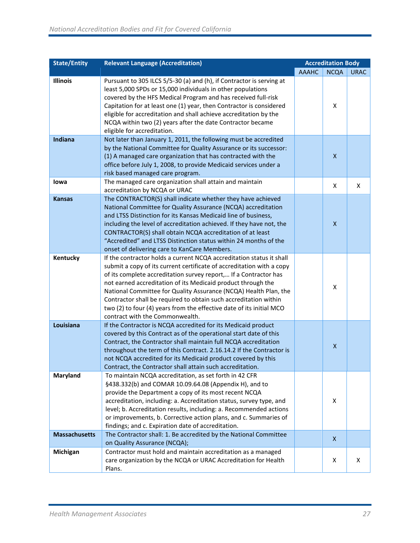| <b>State/Entity</b>  | <b>Relevant Language (Accreditation)</b>                                                                                                                                                                                                                                                                                                                                                                                                                                                                                             | <b>Accreditation Body</b> |                           |             |
|----------------------|--------------------------------------------------------------------------------------------------------------------------------------------------------------------------------------------------------------------------------------------------------------------------------------------------------------------------------------------------------------------------------------------------------------------------------------------------------------------------------------------------------------------------------------|---------------------------|---------------------------|-------------|
|                      |                                                                                                                                                                                                                                                                                                                                                                                                                                                                                                                                      | <b>AAAHC</b>              | <b>NCQA</b>               | <b>URAC</b> |
| <b>Illinois</b>      | Pursuant to 305 ILCS 5/5-30 (a) and (h), if Contractor is serving at<br>least 5,000 SPDs or 15,000 individuals in other populations<br>covered by the HFS Medical Program and has received full-risk<br>Capitation for at least one (1) year, then Contractor is considered<br>eligible for accreditation and shall achieve accreditation by the<br>NCQA within two (2) years after the date Contractor became<br>eligible for accreditation.                                                                                        |                           | X                         |             |
| <b>Indiana</b>       | Not later than January 1, 2011, the following must be accredited<br>by the National Committee for Quality Assurance or its successor:<br>(1) A managed care organization that has contracted with the<br>office before July 1, 2008, to provide Medicaid services under a<br>risk based managed care program.                                                                                                                                                                                                                        |                           | $\boldsymbol{\mathsf{X}}$ |             |
| lowa                 | The managed care organization shall attain and maintain<br>accreditation by NCQA or URAC                                                                                                                                                                                                                                                                                                                                                                                                                                             |                           | X                         | X           |
| <b>Kansas</b>        | The CONTRACTOR(S) shall indicate whether they have achieved<br>National Committee for Quality Assurance (NCQA) accreditation<br>and LTSS Distinction for its Kansas Medicaid line of business,<br>including the level of accreditation achieved. If they have not, the<br>CONTRACTOR(S) shall obtain NCQA accreditation of at least<br>"Accredited" and LTSS Distinction status within 24 months of the<br>onset of delivering care to KanCare Members.                                                                              |                           | $\boldsymbol{\mathsf{X}}$ |             |
| Kentucky             | If the contractor holds a current NCQA accreditation status it shall<br>submit a copy of its current certificate of accreditation with a copy<br>of its complete accreditation survey report, If a Contractor has<br>not earned accreditation of its Medicaid product through the<br>National Committee for Quality Assurance (NCQA) Health Plan, the<br>Contractor shall be required to obtain such accreditation within<br>two (2) to four (4) years from the effective date of its initial MCO<br>contract with the Commonwealth. |                           | X                         |             |
| Louisiana            | If the Contractor is NCQA accredited for its Medicaid product<br>covered by this Contract as of the operational start date of this<br>Contract, the Contractor shall maintain full NCQA accreditation<br>throughout the term of this Contract. 2.16.14.2 If the Contractor is<br>not NCQA accredited for its Medicaid product covered by this<br>Contract, the Contractor shall attain such accreditation.                                                                                                                           |                           | X                         |             |
| <b>Maryland</b>      | To maintain NCQA accreditation, as set forth in 42 CFR<br>§438.332(b) and COMAR 10.09.64.08 (Appendix H), and to<br>provide the Department a copy of its most recent NCQA<br>accreditation, including: a. Accreditation status, survey type, and<br>level; b. Accreditation results, including: a. Recommended actions<br>or improvements, b. Corrective action plans, and c. Summaries of<br>findings; and c. Expiration date of accreditation.                                                                                     |                           | X                         |             |
| <b>Massachusetts</b> | The Contractor shall: 1. Be accredited by the National Committee                                                                                                                                                                                                                                                                                                                                                                                                                                                                     |                           | X.                        |             |
| Michigan             | on Quality Assurance (NCQA);<br>Contractor must hold and maintain accreditation as a managed<br>care organization by the NCQA or URAC Accreditation for Health<br>Plans.                                                                                                                                                                                                                                                                                                                                                             |                           | X                         | X           |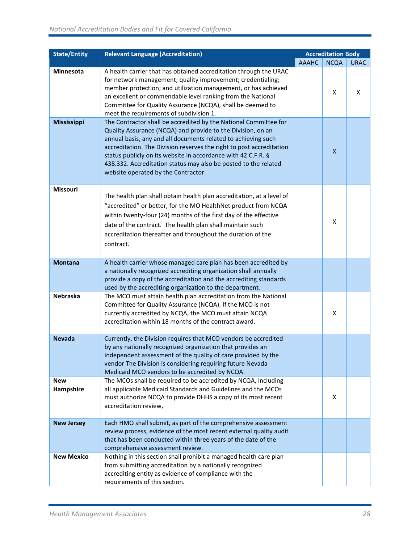| <b>State/Entity</b>     | <b>Relevant Language (Accreditation)</b>                                                                                                                                                                                                                                                                                                                                                                                                            |              | <b>Accreditation Body</b> |             |
|-------------------------|-----------------------------------------------------------------------------------------------------------------------------------------------------------------------------------------------------------------------------------------------------------------------------------------------------------------------------------------------------------------------------------------------------------------------------------------------------|--------------|---------------------------|-------------|
|                         |                                                                                                                                                                                                                                                                                                                                                                                                                                                     | <b>AAAHC</b> | <b>NCQA</b>               | <b>URAC</b> |
| Minnesota               | A health carrier that has obtained accreditation through the URAC<br>for network management; quality improvement; credentialing;<br>member protection; and utilization management, or has achieved<br>an excellent or commendable level ranking from the National<br>Committee for Quality Assurance (NCQA), shall be deemed to<br>meet the requirements of subdivision 1.                                                                          |              | X                         | X           |
| <b>Mississippi</b>      | The Contractor shall be accredited by the National Committee for<br>Quality Assurance (NCQA) and provide to the Division, on an<br>annual basis, any and all documents related to achieving such<br>accreditation. The Division reserves the right to post accreditation<br>status publicly on its website in accordance with 42 C.F.R. §<br>438.332. Accreditation status may also be posted to the related<br>website operated by the Contractor. |              | X                         |             |
| Missouri                | The health plan shall obtain health plan accreditation, at a level of<br>"accredited" or better, for the MO HealthNet product from NCQA<br>within twenty-four (24) months of the first day of the effective<br>date of the contract. The health plan shall maintain such<br>accreditation thereafter and throughout the duration of the<br>contract.                                                                                                |              | X                         |             |
| <b>Montana</b>          | A health carrier whose managed care plan has been accredited by<br>a nationally recognized accrediting organization shall annually<br>provide a copy of the accreditation and the accrediting standards<br>used by the accrediting organization to the department.                                                                                                                                                                                  |              |                           |             |
| <b>Nebraska</b>         | The MCO must attain health plan accreditation from the National<br>Committee for Quality Assurance (NCQA). If the MCO is not<br>currently accredited by NCQA, the MCO must attain NCQA<br>accreditation within 18 months of the contract award.                                                                                                                                                                                                     |              | X                         |             |
| <b>Nevada</b>           | Currently, the Division requires that MCO vendors be accredited<br>by any nationally recognized organization that provides an<br>independent assessment of the quality of care provided by the<br>vendor The Division is considering requiring future Nevada<br>Medicaid MCO vendors to be accredited by NCQA.                                                                                                                                      |              |                           |             |
| <b>New</b><br>Hampshire | The MCOs shall be required to be accredited by NCQA, including<br>all applicable Medicaid Standards and Guidelines and the MCOs<br>must authorize NCQA to provide DHHS a copy of its most recent<br>accreditation review,                                                                                                                                                                                                                           |              | х                         |             |
| <b>New Jersey</b>       | Each HMO shall submit, as part of the comprehensive assessment<br>review process, evidence of the most recent external quality audit<br>that has been conducted within three years of the date of the<br>comprehensive assessment review.                                                                                                                                                                                                           |              |                           |             |
| <b>New Mexico</b>       | Nothing in this section shall prohibit a managed health care plan<br>from submitting accreditation by a nationally recognized<br>accrediting entity as evidence of compliance with the<br>requirements of this section.                                                                                                                                                                                                                             |              |                           |             |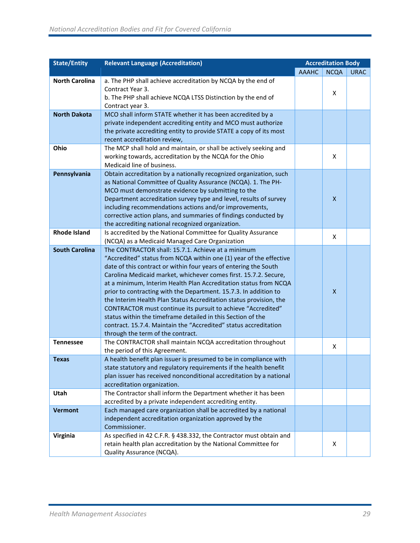| <b>State/Entity</b>   | <b>Relevant Language (Accreditation)</b>                                                                                                                                                                                                                                                                                                                                                                                                                                                                                                                                                                                                                                                                               |              | <b>Accreditation Body</b> |             |
|-----------------------|------------------------------------------------------------------------------------------------------------------------------------------------------------------------------------------------------------------------------------------------------------------------------------------------------------------------------------------------------------------------------------------------------------------------------------------------------------------------------------------------------------------------------------------------------------------------------------------------------------------------------------------------------------------------------------------------------------------------|--------------|---------------------------|-------------|
|                       |                                                                                                                                                                                                                                                                                                                                                                                                                                                                                                                                                                                                                                                                                                                        | <b>AAAHC</b> | <b>NCQA</b>               | <b>URAC</b> |
| <b>North Carolina</b> | a. The PHP shall achieve accreditation by NCQA by the end of<br>Contract Year 3.<br>b. The PHP shall achieve NCQA LTSS Distinction by the end of<br>Contract year 3.                                                                                                                                                                                                                                                                                                                                                                                                                                                                                                                                                   |              | X                         |             |
| <b>North Dakota</b>   | MCO shall inform STATE whether it has been accredited by a<br>private independent accrediting entity and MCO must authorize<br>the private accrediting entity to provide STATE a copy of its most<br>recent accreditation review,                                                                                                                                                                                                                                                                                                                                                                                                                                                                                      |              |                           |             |
| Ohio                  | The MCP shall hold and maintain, or shall be actively seeking and<br>working towards, accreditation by the NCQA for the Ohio<br>Medicaid line of business.                                                                                                                                                                                                                                                                                                                                                                                                                                                                                                                                                             |              | X                         |             |
| Pennsylvania          | Obtain accreditation by a nationally recognized organization, such<br>as National Committee of Quality Assurance (NCQA). 1. The PH-<br>MCO must demonstrate evidence by submitting to the<br>Department accreditation survey type and level, results of survey<br>including recommendations actions and/or improvements,<br>corrective action plans, and summaries of findings conducted by<br>the accrediting national recognized organization.                                                                                                                                                                                                                                                                       |              | $\pmb{\mathsf{X}}$        |             |
| <b>Rhode Island</b>   | Is accredited by the National Committee for Quality Assurance<br>(NCQA) as a Medicaid Managed Care Organization                                                                                                                                                                                                                                                                                                                                                                                                                                                                                                                                                                                                        |              | X                         |             |
| <b>South Carolina</b> | The CONTRACTOR shall: 15.7.1. Achieve at a minimum<br>"Accredited" status from NCQA within one (1) year of the effective<br>date of this contract or within four years of entering the South<br>Carolina Medicaid market, whichever comes first. 15.7.2. Secure,<br>at a minimum, Interim Health Plan Accreditation status from NCQA<br>prior to contracting with the Department. 15.7.3. In addition to<br>the Interim Health Plan Status Accreditation status provision, the<br>CONTRACTOR must continue its pursuit to achieve "Accredited"<br>status within the timeframe detailed in this Section of the<br>contract. 15.7.4. Maintain the "Accredited" status accreditation<br>through the term of the contract. |              | X                         |             |
| <b>Tennessee</b>      | The CONTRACTOR shall maintain NCQA accreditation throughout<br>the period of this Agreement.                                                                                                                                                                                                                                                                                                                                                                                                                                                                                                                                                                                                                           |              | X                         |             |
| <b>Texas</b>          | A health benefit plan issuer is presumed to be in compliance with<br>state statutory and regulatory requirements if the health benefit<br>plan issuer has received nonconditional accreditation by a national<br>accreditation organization.                                                                                                                                                                                                                                                                                                                                                                                                                                                                           |              |                           |             |
| Utah                  | The Contractor shall inform the Department whether it has been<br>accredited by a private independent accrediting entity.                                                                                                                                                                                                                                                                                                                                                                                                                                                                                                                                                                                              |              |                           |             |
| <b>Vermont</b>        | Each managed care organization shall be accredited by a national<br>independent accreditation organization approved by the<br>Commissioner.                                                                                                                                                                                                                                                                                                                                                                                                                                                                                                                                                                            |              |                           |             |
| Virginia              | As specified in 42 C.F.R. § 438.332, the Contractor must obtain and<br>retain health plan accreditation by the National Committee for<br>Quality Assurance (NCQA).                                                                                                                                                                                                                                                                                                                                                                                                                                                                                                                                                     |              | X                         |             |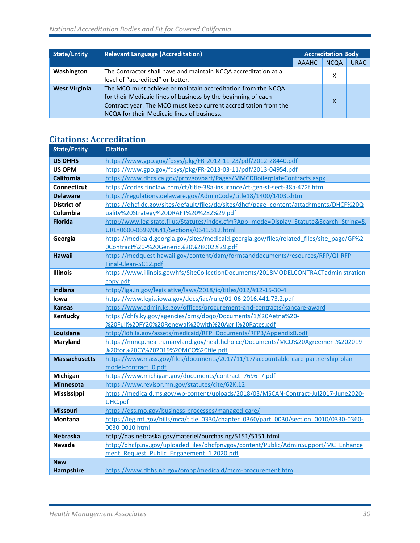| <b>State/Entity</b>  | <b>Relevant Language (Accreditation)</b>                                                                                                                                                                                                       | <b>Accreditation Body</b> |             |             |
|----------------------|------------------------------------------------------------------------------------------------------------------------------------------------------------------------------------------------------------------------------------------------|---------------------------|-------------|-------------|
|                      |                                                                                                                                                                                                                                                | <b>AAAHC</b>              | <b>NCQA</b> | <b>URAC</b> |
| Washington           | The Contractor shall have and maintain NCQA accreditation at a<br>level of "accredited" or better.                                                                                                                                             |                           | x           |             |
| <b>West Virginia</b> | The MCO must achieve or maintain accreditation from the NCQA<br>for their Medicaid lines of business by the beginning of each<br>Contract year. The MCO must keep current accreditation from the<br>NCQA for their Medicaid lines of business. |                           | X           |             |

# **Citations: Accreditation**

| <b>State/Entity</b>  | <b>Citation</b>                                                                                                                                   |
|----------------------|---------------------------------------------------------------------------------------------------------------------------------------------------|
| <b>US DHHS</b>       | https://www.gpo.gov/fdsys/pkg/FR-2012-11-23/pdf/2012-28440.pdf                                                                                    |
| <b>US OPM</b>        | https://www.gpo.gov/fdsys/pkg/FR-2013-03-11/pdf/2013-04954.pdf                                                                                    |
| <b>California</b>    | https://www.dhcs.ca.gov/provgovpart/Pages/MMCDBoilerplateContracts.aspx                                                                           |
| Connecticut          | https://codes.findlaw.com/ct/title-38a-insurance/ct-gen-st-sect-38a-472f.html                                                                     |
| <b>Delaware</b>      | https://regulations.delaware.gov/AdminCode/title18/1400/1403.shtml                                                                                |
| <b>District of</b>   | https://dhcf.dc.gov/sites/default/files/dc/sites/dhcf/page_content/attachments/DHCF%20Q                                                           |
| Columbia             | uality%20Strategy%20DRAFT%20%282%29.pdf                                                                                                           |
| <b>Florida</b>       | http://www.leg.state.fl.us/Statutes/index.cfm?App_mode=Display_Statute&Search_String=&<br>URL=0600-0699/0641/Sections/0641.512.html               |
| Georgia              | https://medicaid.georgia.gov/sites/medicaid.georgia.gov/files/related_files/site_page/GF%2                                                        |
|                      | 0Contract%20-%20Generic%20%28002%29.pdf                                                                                                           |
| <b>Hawaii</b>        | https://medquest.hawaii.gov/content/dam/formsanddocuments/resources/RFP/QI-RFP-<br>Final-Clean-SC12.pdf                                           |
| Illinois             | https://www.illinois.gov/hfs/SiteCollectionDocuments/2018MODELCONTRACTadministration<br>copy.pdf                                                  |
| Indiana              | http://iga.in.gov/legislative/laws/2018/ic/titles/012/#12-15-30-4                                                                                 |
| lowa                 | https://www.legis.iowa.gov/docs/iac/rule/01-06-2016.441.73.2.pdf                                                                                  |
| <b>Kansas</b>        | https://www.admin.ks.gov/offices/procurement-and-contracts/kancare-award                                                                          |
| Kentucky             | https://chfs.ky.gov/agencies/dms/dpqo/Documents/1%20Aetna%20-                                                                                     |
|                      | %20Full%20FY20%20Renewal%20with%20April%20Rates.pdf                                                                                               |
| Louisiana            | http://ldh.la.gov/assets/medicaid/RFP_Documents/RFP3/AppendixB.pdf                                                                                |
| <b>Maryland</b>      | https://mmcp.health.maryland.gov/healthchoice/Documents/MCO%20Agreement%202019                                                                    |
|                      | %20for%20CY%202019%20MCO%20file.pdf                                                                                                               |
| <b>Massachusetts</b> | https://www.mass.gov/files/documents/2017/11/17/accountable-care-partnership-plan-                                                                |
|                      | model-contract 0.pdf                                                                                                                              |
| Michigan             | https://www.michigan.gov/documents/contract 7696 7.pdf                                                                                            |
| <b>Minnesota</b>     | https://www.revisor.mn.gov/statutes/cite/62K.12                                                                                                   |
| Mississippi          | https://medicaid.ms.gov/wp-content/uploads/2018/03/MSCAN-Contract-Jul2017-June2020-                                                               |
|                      | UHC.pdf                                                                                                                                           |
| <b>Missouri</b>      | https://dss.mo.gov/business-processes/managed-care/                                                                                               |
| <b>Montana</b>       | https://leg.mt.gov/bills/mca/title 0330/chapter 0360/part 0030/section 0010/0330-0360-                                                            |
| <b>Nebraska</b>      | 0030-0010.html                                                                                                                                    |
| <b>Nevada</b>        | http://das.nebraska.gov/materiel/purchasing/5151/5151.html<br>http://dhcfp.nv.gov/uploadedFiles/dhcfpnvgov/content/Public/AdminSupport/MC Enhance |
|                      | ment Request Public Engagement 1.2020.pdf                                                                                                         |
| <b>New</b>           |                                                                                                                                                   |
| <b>Hampshire</b>     | https://www.dhhs.nh.gov/ombp/medicaid/mcm-procurement.htm                                                                                         |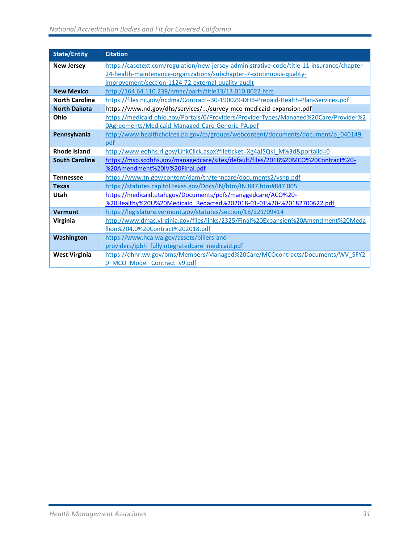### *National Accreditation Bodies and Fit for Covered California*

| <b>State/Entity</b>   | <b>Citation</b>                                                                            |
|-----------------------|--------------------------------------------------------------------------------------------|
| <b>New Jersey</b>     | https://casetext.com/regulation/new-jersey-administrative-code/title-11-insurance/chapter- |
|                       | 24-health-maintenance-organizations/subchapter-7-continuous-quality-                       |
|                       | improvement/section-1124-72-external-quality-audit                                         |
| <b>New Mexico</b>     | http://164.64.110.239/nmac/parts/title13/13.010.0022.htm                                   |
| <b>North Carolina</b> | https://files.nc.gov/ncdma/Contract--30-190029-DHB-Prepaid-Health-Plan-Services.pdf        |
| <b>North Dakota</b>   | https://www.nd.gov/dhs/services//survey-mco-medicaid-expansion.pdf                         |
| Ohio                  | https://medicaid.ohio.gov/Portals/0/Providers/ProviderTypes/Managed%20Care/Provider%2      |
|                       | OAgreements/Medicaid-Managed-Care-Generic-PA.pdf                                           |
| Pennsylvania          | http://www.healthchoices.pa.gov/cs/groups/webcontent/documents/document/p 040149.          |
|                       | pdf                                                                                        |
| <b>Rhode Island</b>   | http://www.eohhs.ri.gov/LinkClick.aspx?fileticket=Xg4aJSQkl M%3d&portalid=0                |
| <b>South Carolina</b> | https://msp.scdhhs.gov/managedcare/sites/default/files/2018%20MCO%20Contract%20-           |
|                       | %20Amendment%20IV%20Final.pdf                                                              |
| <b>Tennessee</b>      | https://www.tn.gov/content/dam/tn/tenncare/documents2/vshp.pdf                             |
| <b>Texas</b>          | https://statutes.capitol.texas.gov/Docs/IN/htm/IN.847.htm#847.005                          |
| Utah                  | https://medicaid.utah.gov/Documents/pdfs/managedcare/ACO%20-                               |
|                       | %20Healthy%20U%20Medicaid Redacted%202018-01-01%20-%20182700622.pdf                        |
| <b>Vermont</b>        | https://legislature.vermont.gov/statutes/section/18/221/09414                              |
| Virginia              | http://www.dmas.virginia.gov/files/links/2325/Final%20Expansion%20Amendment%20Meda         |
|                       | llion%204.0%20Contract%202018.pdf                                                          |
| Washington            | https://www.hca.wa.gov/assets/billers-and-                                                 |
|                       | providers/ipbh fullyintegratedcare medicaid.pdf                                            |
| <b>West Virginia</b>  | https://dhhr.wv.gov/bms/Members/Managed%20Care/MCOcontracts/Documents/WV_SFY2              |
|                       | 0 MCO Model Contract v9.pdf                                                                |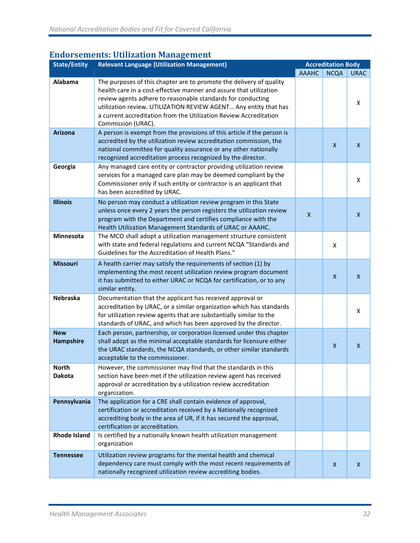# **Endorsements: Utilization Management**

| <b>State/Entity</b>           | <b>Relevant Language (Utilization Management)</b>                                                                                                                                                                                                                                                                                                                       | <b>Accreditation Body</b> |                           |              |
|-------------------------------|-------------------------------------------------------------------------------------------------------------------------------------------------------------------------------------------------------------------------------------------------------------------------------------------------------------------------------------------------------------------------|---------------------------|---------------------------|--------------|
|                               |                                                                                                                                                                                                                                                                                                                                                                         | <b>AAAHC</b>              | <b>NCQA</b>               | <b>URAC</b>  |
| Alabama                       | The purposes of this chapter are to promote the delivery of quality<br>health care in a cost-effective manner and assure that utilization<br>review agents adhere to reasonable standards for conducting<br>utilization review. UTILIZATION REVIEW AGENT Any entity that has<br>a current accreditation from the Utilization Review Accreditation<br>Commission (URAC). |                           |                           | X            |
| <b>Arizona</b>                | A person is exempt from the provisions of this article if the person is<br>accredited by the utilization review accreditation commission, the<br>national committee for quality assurance or any other nationally<br>recognized accreditation process recognized by the director.                                                                                       |                           | $\mathsf{x}$              | X            |
| Georgia                       | Any managed care entity or contractor providing utilization review<br>services for a managed care plan may be deemed compliant by the<br>Commissioner only if such entity or contractor is an applicant that<br>has been accredited by URAC.                                                                                                                            |                           |                           | Χ            |
| <b>Illinois</b>               | No person may conduct a utilization review program in this State<br>unless once every 2 years the person registers the utilization review<br>program with the Department and certifies compliance with the<br>Health Utilization Management Standards of URAC or AAAHC.                                                                                                 | $\mathsf{x}$              |                           | $\mathsf{x}$ |
| Minnesota                     | The MCO shall adopt a utilization management structure consistent<br>with state and federal regulations and current NCQA "Standards and<br>Guidelines for the Accreditation of Health Plans."                                                                                                                                                                           |                           | X                         |              |
| <b>Missouri</b>               | A health carrier may satisfy the requirements of section (1) by<br>implementing the most recent utilization review program document<br>it has submitted to either URAC or NCQA for certification, or to any<br>similar entity.                                                                                                                                          |                           | $\boldsymbol{\mathsf{X}}$ | $\mathsf{x}$ |
| <b>Nebraska</b>               | Documentation that the applicant has received approval or<br>accreditation by URAC, or a similar organization which has standards<br>for utilization review agents that are substantially similar to the<br>standards of URAC, and which has been approved by the director.                                                                                             |                           |                           | X            |
| <b>New</b><br>Hampshire       | Each person, partnership, or corporation licensed under this chapter<br>shall adopt as the minimal acceptable standards for licensure either<br>the URAC standards, the NCQA standards, or other similar standards<br>acceptable to the commissioner.                                                                                                                   |                           | $\boldsymbol{\mathsf{X}}$ | X            |
| <b>North</b><br><b>Dakota</b> | However, the commissioner may find that the standards in this<br>section have been met if the utilization review agent has received<br>approval or accreditation by a utilization review accreditation<br>organization.                                                                                                                                                 |                           |                           |              |
| Pennsylvania                  | The application for a CRE shall contain evidence of approval,<br>certification or accreditation received by a Nationally recognized<br>accrediting body in the area of UR, if it has secured the approval,<br>certification or accreditation.                                                                                                                           |                           |                           |              |
| <b>Rhode Island</b>           | Is certified by a nationally known health utilization management<br>organization                                                                                                                                                                                                                                                                                        |                           |                           |              |
| <b>Tennessee</b>              | Utilization review programs for the mental health and chemical<br>dependency care must comply with the most recent requirements of<br>nationally recognized utilization review accrediting bodies.                                                                                                                                                                      |                           | X                         | X            |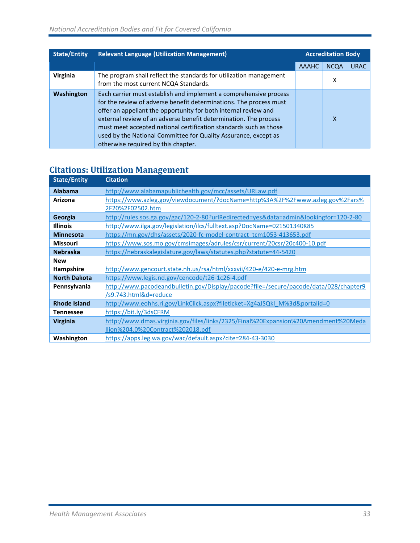| <b>State/Entity</b> | <b>Relevant Language (Utilization Management)</b>                                                                                                                                                                                                                                                                                                                                                                                                             | <b>Accreditation Body</b> |             |             |
|---------------------|---------------------------------------------------------------------------------------------------------------------------------------------------------------------------------------------------------------------------------------------------------------------------------------------------------------------------------------------------------------------------------------------------------------------------------------------------------------|---------------------------|-------------|-------------|
|                     |                                                                                                                                                                                                                                                                                                                                                                                                                                                               | <b>AAAHC</b>              | <b>NCQA</b> | <b>URAC</b> |
| Virginia            | The program shall reflect the standards for utilization management<br>from the most current NCQA Standards.                                                                                                                                                                                                                                                                                                                                                   |                           | x           |             |
| Washington          | Each carrier must establish and implement a comprehensive process<br>for the review of adverse benefit determinations. The process must<br>offer an appellant the opportunity for both internal review and<br>external review of an adverse benefit determination. The process<br>must meet accepted national certification standards such as those<br>used by the National Committee for Quality Assurance, except as<br>otherwise required by this chapter. |                           | X           |             |

# **Citations: Utilization Management**

| <b>State/Entity</b> | <b>Citation</b>                                                                       |
|---------------------|---------------------------------------------------------------------------------------|
| <b>Alabama</b>      | http://www.alabamapublichealth.gov/mcc/assets/URLaw.pdf                               |
| Arizona             | https://www.azleg.gov/viewdocument/?docName=http%3A%2F%2Fwww.azleg.gov%2Fars%         |
|                     | 2F20%2F02502.htm                                                                      |
| Georgia             | http://rules.sos.ga.gov/gac/120-2-80?urlRedirected=yes&data=admin&lookingfor=120-2-80 |
| <b>Illinois</b>     | http://www.ilga.gov/legislation/ilcs/fulltext.asp?DocName=021501340K85                |
| <b>Minnesota</b>    | https://mn.gov/dhs/assets/2020-fc-model-contract_tcm1053-413653.pdf                   |
| <b>Missouri</b>     | https://www.sos.mo.gov/cmsimages/adrules/csr/current/20csr/20c400-10.pdf              |
| <b>Nebraska</b>     | https://nebraskalegislature.gov/laws/statutes.php?statute=44-5420                     |
| <b>New</b>          |                                                                                       |
| Hampshire           | http://www.gencourt.state.nh.us/rsa/html/xxxvii/420-e/420-e-mrg.htm                   |
| <b>North Dakota</b> | https://www.legis.nd.gov/cencode/t26-1c26-4.pdf                                       |
| Pennsylvania        | http://www.pacodeandbulletin.gov/Display/pacode?file=/secure/pacode/data/028/chapter9 |
|                     | /s9.743.html&d=reduce                                                                 |
| <b>Rhode Island</b> | http://www.eohhs.ri.gov/LinkClick.aspx?fileticket=Xg4aJSQkl M%3d&portalid=0           |
| Tennessee           | https://bit.ly/3dsCFRM                                                                |
| <b>Virginia</b>     | http://www.dmas.virginia.gov/files/links/2325/Final%20Expansion%20Amendment%20Meda    |
|                     | llion%204.0%20Contract%202018.pdf                                                     |
| Washington          | https://apps.leg.wa.gov/wac/default.aspx?cite=284-43-3030                             |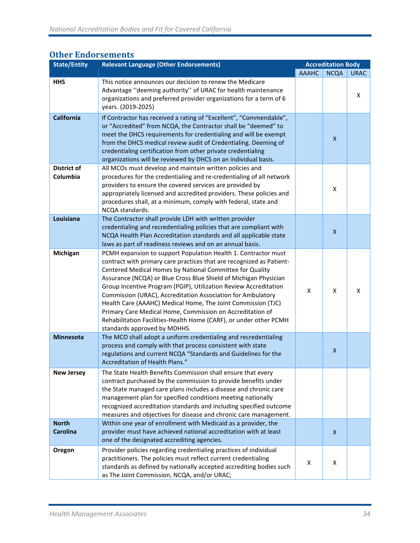# **Other Endorsements**

| <b>State/Entity</b>             | <b>Relevant Language (Other Endorsements)</b>                                                                                                                                                                                                                                                                                                                                                                                                                                                                                                                                                                                               |              | <b>Accreditation Body</b> |             |
|---------------------------------|---------------------------------------------------------------------------------------------------------------------------------------------------------------------------------------------------------------------------------------------------------------------------------------------------------------------------------------------------------------------------------------------------------------------------------------------------------------------------------------------------------------------------------------------------------------------------------------------------------------------------------------------|--------------|---------------------------|-------------|
|                                 |                                                                                                                                                                                                                                                                                                                                                                                                                                                                                                                                                                                                                                             | <b>AAAHC</b> | <b>NCQA</b>               | <b>URAC</b> |
| <b>HHS</b>                      | This notice announces our decision to renew the Medicare<br>Advantage "deeming authority" of URAC for health maintenance<br>organizations and preferred provider organizations for a term of 6<br>years. (2019-2025)                                                                                                                                                                                                                                                                                                                                                                                                                        |              |                           | X           |
| <b>California</b>               | If Contractor has received a rating of "Excellent", "Commendable",<br>or "Accredited" from NCQA, the Contractor shall be "deemed" to<br>meet the DHCS requirements for credentialing and will be exempt<br>from the DHCS medical review audit of Credentialing. Deeming of<br>credentialing certification from other private credentialing<br>organizations will be reviewed by DHCS on an individual basis.                                                                                                                                                                                                                                |              | $\boldsymbol{\mathsf{X}}$ |             |
| <b>District of</b><br>Columbia  | All MCOs must develop and maintain written policies and<br>procedures for the credentialing and re-credentialing of all network<br>providers to ensure the covered services are provided by<br>appropriately licensed and accredited providers. These policies and<br>procedures shall, at a minimum, comply with federal, state and<br>NCQA standards.                                                                                                                                                                                                                                                                                     |              | X                         |             |
| Louisiana                       | The Contractor shall provide LDH with written provider<br>credentialing and recredentialing policies that are compliant with<br>NCQA Health Plan Accreditation standards and all applicable state<br>laws as part of readiness reviews and on an annual basis.                                                                                                                                                                                                                                                                                                                                                                              |              | $\mathsf{x}$              |             |
| Michigan                        | PCMH expansion to support Population Health 1. Contractor must<br>contract with primary care practices that are recognized as Patient-<br>Centered Medical Homes by National Committee for Quality<br>Assurance (NCQA) or Blue Cross Blue Shield of Michigan Physician<br>Group Incentive Program (PGIP), Utilization Review Accreditation<br>Commission (URAC), Accreditation Association for Ambulatory<br>Health Care (AAAHC) Medical Home, The Joint Commission (TJC)<br>Primary Care Medical Home, Commission on Accreditation of<br>Rehabilitation Facilities-Health Home (CARF), or under other PCMH<br>standards approved by MDHHS. | X            | X                         | X           |
| <b>Minnesota</b>                | The MCO shall adopt a uniform credentialing and recredentialing<br>process and comply with that process consistent with state<br>regulations and current NCQA "Standards and Guidelines for the<br>Accreditation of Health Plans."                                                                                                                                                                                                                                                                                                                                                                                                          |              | $\pmb{\mathsf{X}}$        |             |
| <b>New Jersey</b>               | The State Health Benefits Commission shall ensure that every<br>contract purchased by the commission to provide benefits under<br>the State managed care plans includes a disease and chronic care<br>management plan for specified conditions meeting nationally<br>recognized accreditation standards and including specified outcome<br>measures and objectives for disease and chronic care management.                                                                                                                                                                                                                                 |              |                           |             |
| <b>North</b><br><b>Carolina</b> | Within one year of enrollment with Medicaid as a provider, the<br>provider must have achieved national accreditation with at least<br>one of the designated accrediting agencies.                                                                                                                                                                                                                                                                                                                                                                                                                                                           |              | $\mathsf{x}$              |             |
| Oregon                          | Provider policies regarding credentialing practices of individual<br>practitioners. The policies must reflect current credentialing<br>standards as defined by nationally accepted accrediting bodies such<br>as The Joint Commission, NCQA, and/or URAC;                                                                                                                                                                                                                                                                                                                                                                                   | X            | X                         |             |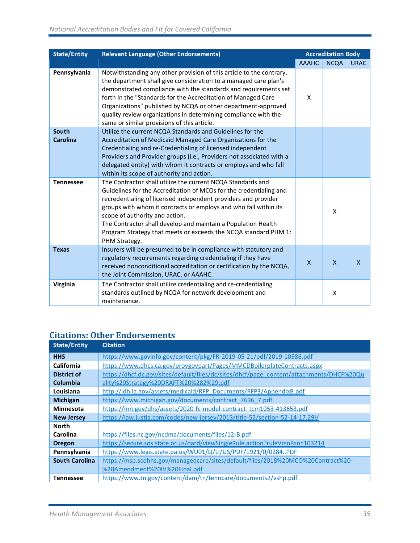| <b>State/Entity</b> | <b>Relevant Language (Other Endorsements)</b>                                                                                                                                                                                                                                                                                                                                                                                                                   |              | <b>Accreditation Body</b> |              |
|---------------------|-----------------------------------------------------------------------------------------------------------------------------------------------------------------------------------------------------------------------------------------------------------------------------------------------------------------------------------------------------------------------------------------------------------------------------------------------------------------|--------------|---------------------------|--------------|
|                     |                                                                                                                                                                                                                                                                                                                                                                                                                                                                 | <b>AAAHC</b> | <b>NCQA</b>               | <b>URAC</b>  |
| Pennsylvania        | Notwithstanding any other provision of this article to the contrary,<br>the department shall give consideration to a managed care plan's<br>demonstrated compliance with the standards and requirements set<br>forth in the "Standards for the Accreditation of Managed Care<br>Organizations" published by NCQA or other department-approved<br>quality review organizations in determining compliance with the<br>same or similar provisions of this article. | X            |                           |              |
| South               | Utilize the current NCQA Standards and Guidelines for the                                                                                                                                                                                                                                                                                                                                                                                                       |              |                           |              |
| Carolina            | Accreditation of Medicaid Managed Care Organizations for the<br>Credentialing and re-Credentialing of licensed independent<br>Providers and Provider groups (i.e., Providers not associated with a<br>delegated entity) with whom it contracts or employs and who fall<br>within its scope of authority and action.                                                                                                                                             |              |                           |              |
| <b>Tennessee</b>    | The Contractor shall utilize the current NCQA Standards and<br>Guidelines for the Accreditation of MCOs for the credentialing and<br>recredentialing of licensed independent providers and provider<br>groups with whom it contracts or employs and who fall within its<br>scope of authority and action.<br>The Contractor shall develop and maintain a Population Health<br>Program Strategy that meets or exceeds the NCQA standard PHM 1:<br>PHM Strategy.  |              | X                         |              |
| <b>Texas</b>        | Insurers will be presumed to be in compliance with statutory and<br>regulatory requirements regarding credentialing if they have<br>received nonconditional accreditation or certification by the NCQA,<br>the Joint Commission, URAC, or AAAHC.                                                                                                                                                                                                                | $\mathsf{x}$ | $\mathsf{x}$              | $\mathsf{x}$ |
| Virginia            | The Contractor shall utilize credentialing and re-credentialing<br>standards outlined by NCQA for network development and<br>maintenance.                                                                                                                                                                                                                                                                                                                       |              | X                         |              |

# **Citations: Other Endorsements**

| <b>State/Entity</b>   | <b>Citation</b>                                                                          |
|-----------------------|------------------------------------------------------------------------------------------|
| <b>HHS</b>            | https://www.govinfo.gov/content/pkg/FR-2019-05-21/pdf/2019-10586.pdf                     |
| California            | https://www.dhcs.ca.gov/provgovpart/Pages/MMCDBoilerplateContracts.aspx                  |
| <b>District of</b>    | https://dhcf.dc.gov/sites/default/files/dc/sites/dhcf/page_content/attachments/DHCF%20Qu |
| <b>Columbia</b>       | ality%20Strategy%20DRAFT%20%282%29.pdf                                                   |
| Louisiana             | http://ldh.la.gov/assets/medicaid/RFP_Documents/RFP3/AppendixB.pdf                       |
| <b>Michigan</b>       | https://www.michigan.gov/documents/contract 7696 7.pdf                                   |
| <b>Minnesota</b>      | https://mn.gov/dhs/assets/2020-fc-model-contract_tcm1053-413653.pdf                      |
| <b>New Jersey</b>     | https://law.justia.com/codes/new-jersey/2013/title-52/section-52-14-17.29l/              |
| <b>North</b>          |                                                                                          |
| Carolina              | https://files.nc.gov/ncdma/documents/files/12-B.pdf                                      |
| Oregon                | https://secure.sos.state.or.us/oard/viewSingleRule.action?ruleVrsnRsn=103214             |
| Pennsylvania          | https://www.legis.state.pa.us/WU01/LI/LI/US/PDF/1921/0/0284PDF                           |
| <b>South Carolina</b> | https://msp.scdhhs.gov/managedcare/sites/default/files/2018%20MCO%20Contract%20-         |
|                       | %20Amendment%20IV%20Final.pdf                                                            |
| <b>Tennessee</b>      | https://www.tn.gov/content/dam/tn/tenncare/documents2/vshp.pdf                           |